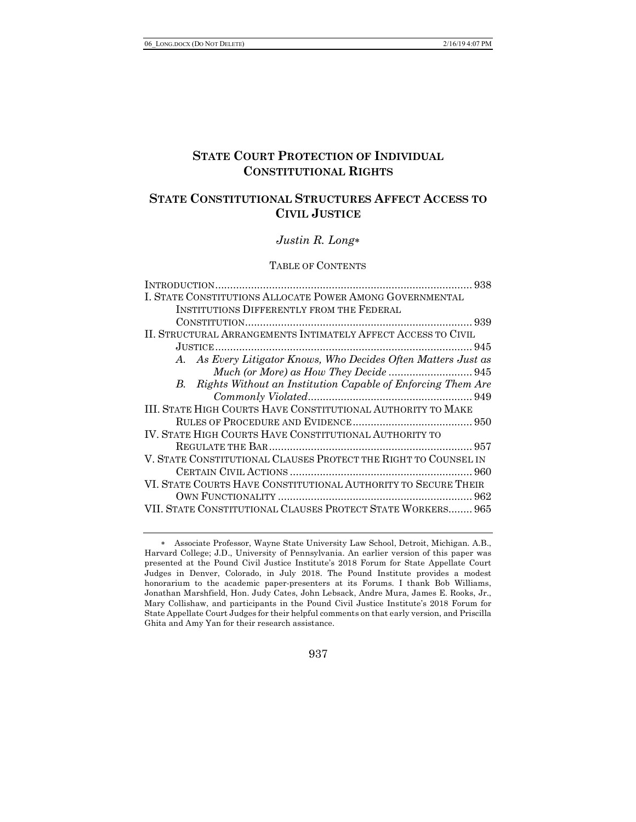# **STATE COURT PROTECTION OF INDIVIDUAL CONSTITUTIONAL RIGHTS**

# **STATE CONSTITUTIONAL STRUCTURES AFFECT ACCESS TO CIVIL JUSTICE**

# *Justin R. Long*\*

#### TABLE OF CONTENTS

| I. STATE CONSTITUTIONS ALLOCATE POWER AMONG GOVERNMENTAL        |
|-----------------------------------------------------------------|
| <b>INSTITUTIONS DIFFERENTLY FROM THE FEDERAL</b>                |
|                                                                 |
| II. STRUCTURAL ARRANGEMENTS INTIMATELY AFFECT ACCESS TO CIVIL   |
|                                                                 |
| A. As Every Litigator Knows, Who Decides Often Matters Just as  |
|                                                                 |
| B. Rights Without an Institution Capable of Enforcing Them Are  |
|                                                                 |
| III. STATE HIGH COURTS HAVE CONSTITUTIONAL AUTHORITY TO MAKE    |
|                                                                 |
| IV. STATE HIGH COURTS HAVE CONSTITUTIONAL AUTHORITY TO          |
|                                                                 |
| V. STATE CONSTITUTIONAL CLAUSES PROTECT THE RIGHT TO COUNSEL IN |
|                                                                 |
| VI. STATE COURTS HAVE CONSTITUTIONAL AUTHORITY TO SECURE THEIR  |
|                                                                 |
| VII. STATE CONSTITUTIONAL CLAUSES PROTECT STATE WORKERS 965     |

937

<sup>\*</sup> Associate Professor, Wayne State University Law School, Detroit, Michigan. A.B., Harvard College; J.D., University of Pennsylvania. An earlier version of this paper was presented at the Pound Civil Justice Institute's 2018 Forum for State Appellate Court Judges in Denver, Colorado, in July 2018. The Pound Institute provides a modest honorarium to the academic paper-presenters at its Forums. I thank Bob Williams, Jonathan Marshfield, Hon. Judy Cates, John Lebsack, Andre Mura, James E. Rooks, Jr., Mary Collishaw, and participants in the Pound Civil Justice Institute's 2018 Forum for State Appellate Court Judges for their helpful comments on that early version, and Priscilla Ghita and Amy Yan for their research assistance.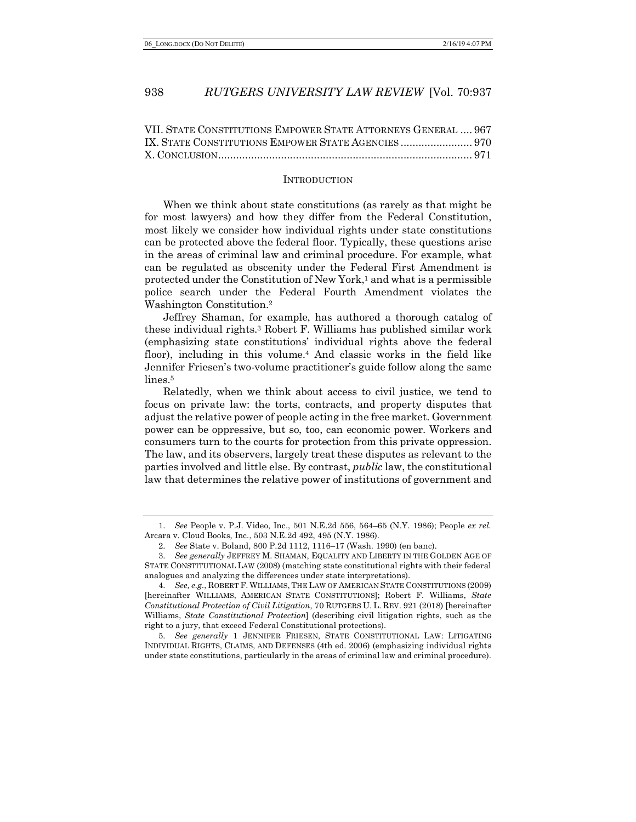| VII. STATE CONSTITUTIONS EMPOWER STATE ATTORNEYS GENERAL  967 |  |
|---------------------------------------------------------------|--|
|                                                               |  |
|                                                               |  |

#### INTRODUCTION

When we think about state constitutions (as rarely as that might be for most lawyers) and how they differ from the Federal Constitution, most likely we consider how individual rights under state constitutions can be protected above the federal floor. Typically, these questions arise in the areas of criminal law and criminal procedure. For example, what can be regulated as obscenity under the Federal First Amendment is protected under the Constitution of New York,<sup>1</sup> and what is a permissible police search under the Federal Fourth Amendment violates the Washington Constitution.2

Jeffrey Shaman, for example, has authored a thorough catalog of these individual rights.3 Robert F. Williams has published similar work (emphasizing state constitutions' individual rights above the federal floor), including in this volume.<sup>4</sup> And classic works in the field like Jennifer Friesen's two-volume practitioner's guide follow along the same lines.<sup>5</sup>

Relatedly, when we think about access to civil justice, we tend to focus on private law: the torts, contracts, and property disputes that adjust the relative power of people acting in the free market. Government power can be oppressive, but so, too, can economic power. Workers and consumers turn to the courts for protection from this private oppression. The law, and its observers, largely treat these disputes as relevant to the parties involved and little else. By contrast, *public* law, the constitutional law that determines the relative power of institutions of government and

5. *See generally* 1 JENNIFER FRIESEN, STATE CONSTITUTIONAL LAW: LITIGATING INDIVIDUAL RIGHTS, CLAIMS, AND DEFENSES (4th ed. 2006) (emphasizing individual rights under state constitutions, particularly in the areas of criminal law and criminal procedure).

<sup>1.</sup> *See* People v. P.J. Video, Inc., 501 N.E.2d 556, 564–65 (N.Y. 1986); People *ex rel.* Arcara v. Cloud Books, Inc., 503 N.E.2d 492, 495 (N.Y. 1986).

<sup>2.</sup> *See* State v. Boland, 800 P.2d 1112, 1116–17 (Wash. 1990) (en banc).

<sup>3.</sup> *See generally* JEFFREY M. SHAMAN, EQUALITY AND LIBERTY IN THE GOLDEN AGE OF STATE CONSTITUTIONAL LAW (2008) (matching state constitutional rights with their federal analogues and analyzing the differences under state interpretations).

<sup>4.</sup> *See, e.g.*, ROBERT F. WILLIAMS, THE LAW OF AMERICAN STATE CONSTITUTIONS (2009) [hereinafter WILLIAMS, AMERICAN STATE CONSTITUTIONS]; Robert F. Williams, *State Constitutional Protection of Civil Litigation*, 70 RUTGERS U. L. REV. 921 (2018) [hereinafter Williams, *State Constitutional Protection*] (describing civil litigation rights, such as the right to a jury, that exceed Federal Constitutional protections).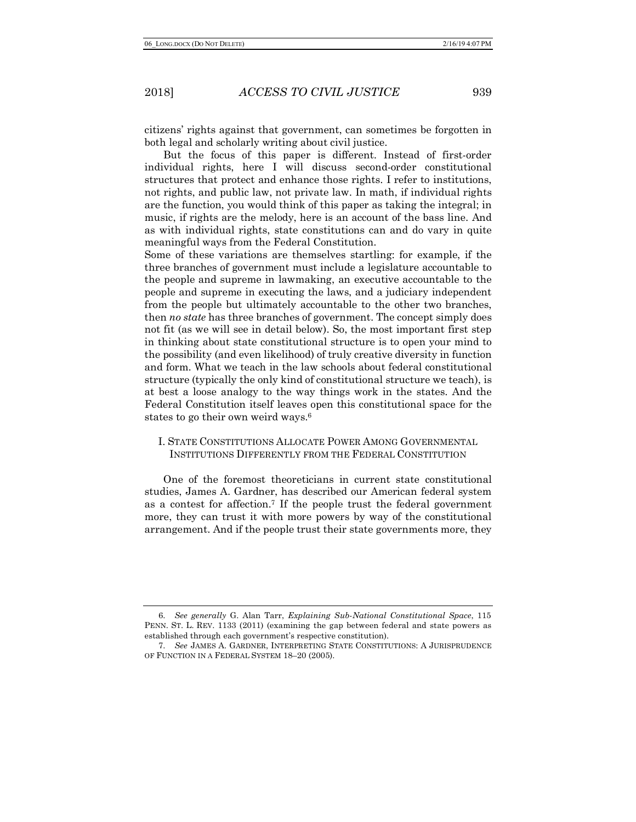citizens' rights against that government, can sometimes be forgotten in both legal and scholarly writing about civil justice.

But the focus of this paper is different. Instead of first-order individual rights, here I will discuss second-order constitutional structures that protect and enhance those rights. I refer to institutions, not rights, and public law, not private law. In math, if individual rights are the function, you would think of this paper as taking the integral; in music, if rights are the melody, here is an account of the bass line. And as with individual rights, state constitutions can and do vary in quite meaningful ways from the Federal Constitution.

Some of these variations are themselves startling: for example, if the three branches of government must include a legislature accountable to the people and supreme in lawmaking, an executive accountable to the people and supreme in executing the laws, and a judiciary independent from the people but ultimately accountable to the other two branches, then *no state* has three branches of government. The concept simply does not fit (as we will see in detail below). So, the most important first step in thinking about state constitutional structure is to open your mind to the possibility (and even likelihood) of truly creative diversity in function and form. What we teach in the law schools about federal constitutional structure (typically the only kind of constitutional structure we teach), is at best a loose analogy to the way things work in the states. And the Federal Constitution itself leaves open this constitutional space for the states to go their own weird ways.6

# I. STATE CONSTITUTIONS ALLOCATE POWER AMONG GOVERNMENTAL INSTITUTIONS DIFFERENTLY FROM THE FEDERAL CONSTITUTION

One of the foremost theoreticians in current state constitutional studies, James A. Gardner, has described our American federal system as a contest for affection.7 If the people trust the federal government more, they can trust it with more powers by way of the constitutional arrangement. And if the people trust their state governments more, they

<sup>6.</sup> *See generally* G. Alan Tarr, *Explaining Sub-National Constitutional Space*, 115 PENN. ST. L. REV. 1133 (2011) (examining the gap between federal and state powers as established through each government's respective constitution).

<sup>7.</sup> *See* JAMES A. GARDNER, INTERPRETING STATE CONSTITUTIONS: A JURISPRUDENCE OF FUNCTION IN A FEDERAL SYSTEM 18–20 (2005).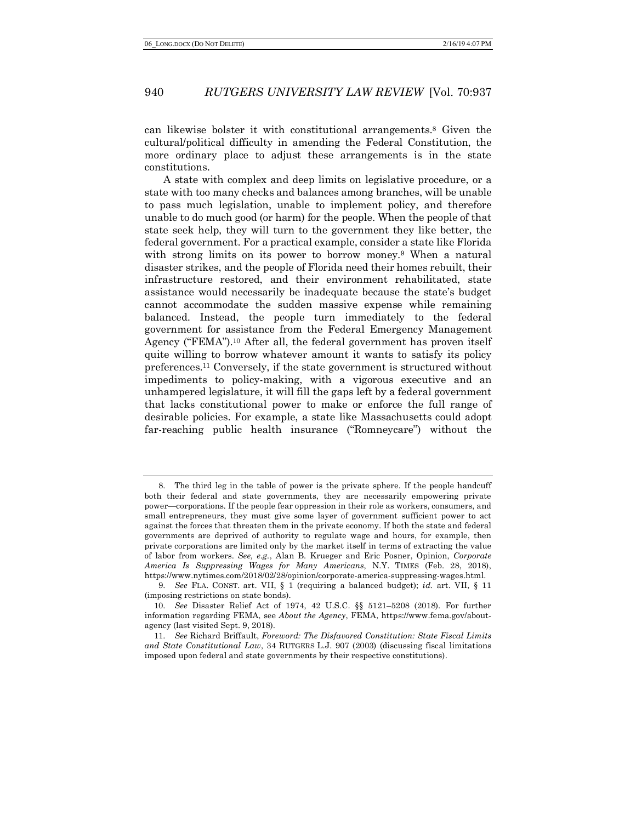can likewise bolster it with constitutional arrangements.8 Given the cultural/political difficulty in amending the Federal Constitution, the more ordinary place to adjust these arrangements is in the state constitutions.

A state with complex and deep limits on legislative procedure, or a state with too many checks and balances among branches, will be unable to pass much legislation, unable to implement policy, and therefore unable to do much good (or harm) for the people. When the people of that state seek help, they will turn to the government they like better, the federal government. For a practical example, consider a state like Florida with strong limits on its power to borrow money.<sup>9</sup> When a natural disaster strikes, and the people of Florida need their homes rebuilt, their infrastructure restored, and their environment rehabilitated, state assistance would necessarily be inadequate because the state's budget cannot accommodate the sudden massive expense while remaining balanced. Instead, the people turn immediately to the federal government for assistance from the Federal Emergency Management Agency ("FEMA").<sup>10</sup> After all, the federal government has proven itself quite willing to borrow whatever amount it wants to satisfy its policy preferences.11 Conversely, if the state government is structured without impediments to policy-making, with a vigorous executive and an unhampered legislature, it will fill the gaps left by a federal government that lacks constitutional power to make or enforce the full range of desirable policies. For example, a state like Massachusetts could adopt far-reaching public health insurance ("Romneycare") without the

<sup>8.</sup> The third leg in the table of power is the private sphere. If the people handcuff both their federal and state governments, they are necessarily empowering private power—corporations. If the people fear oppression in their role as workers, consumers, and small entrepreneurs, they must give some layer of government sufficient power to act against the forces that threaten them in the private economy. If both the state and federal governments are deprived of authority to regulate wage and hours, for example, then private corporations are limited only by the market itself in terms of extracting the value of labor from workers. *See, e.g.*, Alan B. Krueger and Eric Posner, Opinion, *Corporate America Is Suppressing Wages for Many Americans*, N.Y. TIMES (Feb. 28, 2018), https://www.nytimes.com/2018/02/28/opinion/corporate-america-suppressing-wages.html.

<sup>9.</sup> *See* FLA. CONST. art. VII, § 1 (requiring a balanced budget); *id.* art. VII, § 11 (imposing restrictions on state bonds).

<sup>10.</sup> *See* Disaster Relief Act of 1974, 42 U.S.C. §§ 5121–5208 (2018). For further information regarding FEMA, see *About the Agency*, FEMA, https://www.fema.gov/aboutagency (last visited Sept. 9, 2018).

<sup>11.</sup> *See* Richard Briffault, *Foreword: The Disfavored Constitution: State Fiscal Limits and State Constitutional Law*, 34 RUTGERS L.J. 907 (2003) (discussing fiscal limitations imposed upon federal and state governments by their respective constitutions).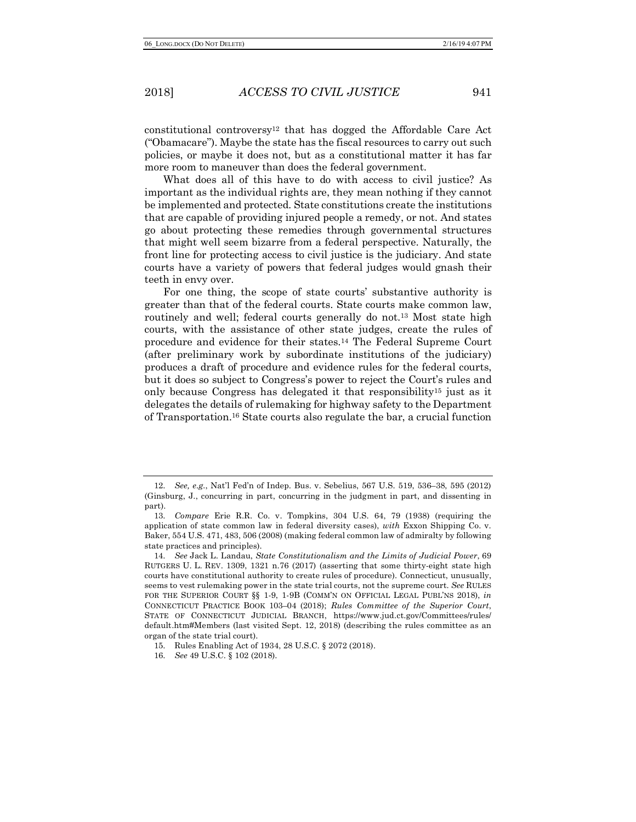constitutional controversy12 that has dogged the Affordable Care Act ("Obamacare"). Maybe the state has the fiscal resources to carry out such policies, or maybe it does not, but as a constitutional matter it has far more room to maneuver than does the federal government.

What does all of this have to do with access to civil justice? As important as the individual rights are, they mean nothing if they cannot be implemented and protected. State constitutions create the institutions that are capable of providing injured people a remedy, or not. And states go about protecting these remedies through governmental structures that might well seem bizarre from a federal perspective. Naturally, the front line for protecting access to civil justice is the judiciary. And state courts have a variety of powers that federal judges would gnash their teeth in envy over.

For one thing, the scope of state courts' substantive authority is greater than that of the federal courts. State courts make common law, routinely and well; federal courts generally do not.<sup>13</sup> Most state high courts, with the assistance of other state judges, create the rules of procedure and evidence for their states.14 The Federal Supreme Court (after preliminary work by subordinate institutions of the judiciary) produces a draft of procedure and evidence rules for the federal courts, but it does so subject to Congress's power to reject the Court's rules and only because Congress has delegated it that responsibility15 just as it delegates the details of rulemaking for highway safety to the Department of Transportation.16 State courts also regulate the bar, a crucial function

<sup>12.</sup> *See, e.g.*, Nat'l Fed'n of Indep. Bus. v. Sebelius, 567 U.S. 519, 536–38, 595 (2012) (Ginsburg, J., concurring in part, concurring in the judgment in part, and dissenting in part).

<sup>13.</sup> *Compare* Erie R.R. Co. v. Tompkins, 304 U.S. 64, 79 (1938) (requiring the application of state common law in federal diversity cases), *with* Exxon Shipping Co. v. Baker, 554 U.S. 471, 483, 506 (2008) (making federal common law of admiralty by following state practices and principles).

<sup>14.</sup> *See* Jack L. Landau, *State Constitutionalism and the Limits of Judicial Power*, 69 RUTGERS U. L. REV. 1309, 1321 n.76 (2017) (asserting that some thirty-eight state high courts have constitutional authority to create rules of procedure). Connecticut, unusually, seems to vest rulemaking power in the state trial courts, not the supreme court. *See* RULES FOR THE SUPERIOR COURT §§ 1-9, 1-9B (COMM'N ON OFFICIAL LEGAL PUBL'NS 2018), *in*  CONNECTICUT PRACTICE BOOK 103–04 (2018); *Rules Committee of the Superior Court*, STATE OF CONNECTICUT JUDICIAL BRANCH, https://www.jud.ct.gov/Committees/rules/ default.htm#Members (last visited Sept. 12, 2018) (describing the rules committee as an organ of the state trial court).

<sup>15.</sup> Rules Enabling Act of 1934, 28 U.S.C. § 2072 (2018).

<sup>16.</sup> *See* 49 U.S.C. § 102 (2018).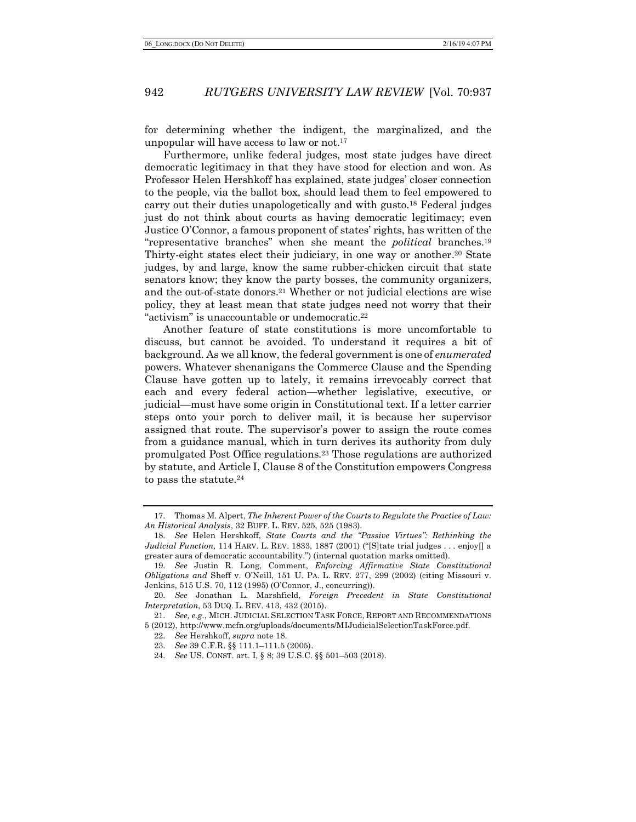for determining whether the indigent, the marginalized, and the unpopular will have access to law or not.17

Furthermore, unlike federal judges, most state judges have direct democratic legitimacy in that they have stood for election and won. As Professor Helen Hershkoff has explained, state judges' closer connection to the people, via the ballot box, should lead them to feel empowered to carry out their duties unapologetically and with gusto.18 Federal judges just do not think about courts as having democratic legitimacy; even Justice O'Connor, a famous proponent of states' rights, has written of the "representative branches" when she meant the *political* branches.19 Thirty-eight states elect their judiciary, in one way or another.20 State judges, by and large, know the same rubber-chicken circuit that state senators know; they know the party bosses, the community organizers, and the out-of-state donors.21 Whether or not judicial elections are wise policy, they at least mean that state judges need not worry that their "activism" is unaccountable or undemocratic.22

Another feature of state constitutions is more uncomfortable to discuss, but cannot be avoided. To understand it requires a bit of background. As we all know, the federal government is one of *enumerated* powers. Whatever shenanigans the Commerce Clause and the Spending Clause have gotten up to lately, it remains irrevocably correct that each and every federal action—whether legislative, executive, or judicial—must have some origin in Constitutional text. If a letter carrier steps onto your porch to deliver mail, it is because her supervisor assigned that route. The supervisor's power to assign the route comes from a guidance manual, which in turn derives its authority from duly promulgated Post Office regulations.23 Those regulations are authorized by statute, and Article I, Clause 8 of the Constitution empowers Congress to pass the statute.24

<sup>17.</sup> Thomas M. Alpert, *The Inherent Power of the Courts to Regulate the Practice of Law: An Historical Analysis*, 32 BUFF. L. REV. 525, 525 (1983).

<sup>18.</sup> *See* Helen Hershkoff, *State Courts and the "Passive Virtues": Rethinking the Judicial Function*, 114 HARV. L. REV. 1833, 1887 (2001) ("[S]tate trial judges . . . enjoy[] a greater aura of democratic accountability.") (internal quotation marks omitted).

<sup>19.</sup> *See* Justin R. Long, Comment, *Enforcing Affirmative State Constitutional Obligations and* Sheff v. O'Neill, 151 U. PA. L. REV. 277, 299 (2002) (citing Missouri v. Jenkins, 515 U.S. 70, 112 (1995) (O'Connor, J., concurring)).

<sup>20.</sup> *See* Jonathan L. Marshfield, *Foreign Precedent in State Constitutional Interpretation*, 53 DUQ. L. REV. 413, 432 (2015).

<sup>21.</sup> *See, e.g.*, MICH. JUDICIAL SELECTION TASK FORCE, REPORT AND RECOMMENDATIONS 5 (2012), http://www.mcfn.org/uploads/documents/MIJudicialSelectionTaskForce.pdf.

<sup>22.</sup> *See* Hershkoff, *supra* note 18.

<sup>23.</sup> *See* 39 C.F.R. §§ 111.1–111.5 (2005).

<sup>24.</sup> *See* US. CONST. art. I, § 8; 39 U.S.C. §§ 501–503 (2018).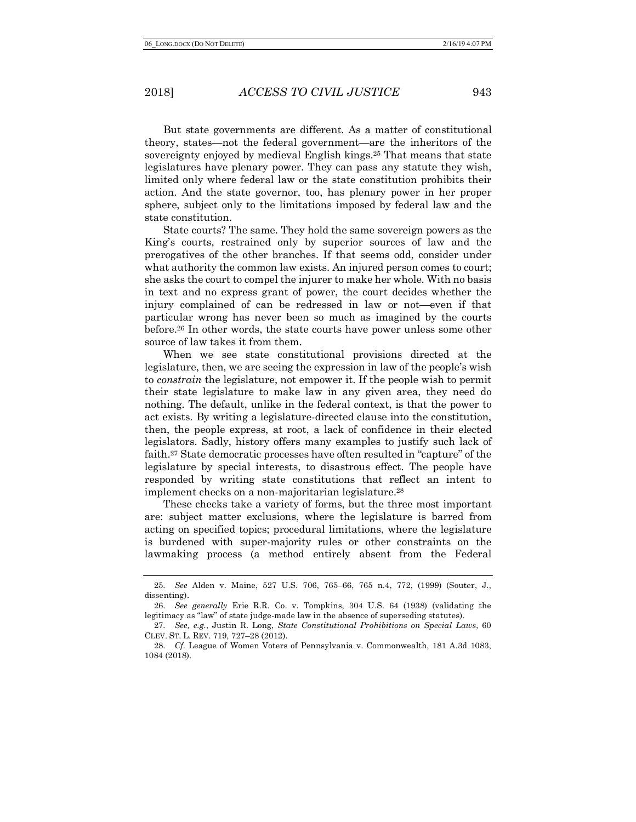But state governments are different. As a matter of constitutional theory, states—not the federal government—are the inheritors of the sovereignty enjoyed by medieval English kings.25 That means that state legislatures have plenary power. They can pass any statute they wish, limited only where federal law or the state constitution prohibits their action. And the state governor, too, has plenary power in her proper sphere, subject only to the limitations imposed by federal law and the state constitution.

State courts? The same. They hold the same sovereign powers as the King's courts, restrained only by superior sources of law and the prerogatives of the other branches. If that seems odd, consider under what authority the common law exists. An injured person comes to court; she asks the court to compel the injurer to make her whole. With no basis in text and no express grant of power, the court decides whether the injury complained of can be redressed in law or not—even if that particular wrong has never been so much as imagined by the courts before.26 In other words, the state courts have power unless some other source of law takes it from them.

When we see state constitutional provisions directed at the legislature, then, we are seeing the expression in law of the people's wish to *constrain* the legislature, not empower it. If the people wish to permit their state legislature to make law in any given area, they need do nothing. The default, unlike in the federal context, is that the power to act exists. By writing a legislature-directed clause into the constitution, then, the people express, at root, a lack of confidence in their elected legislators. Sadly, history offers many examples to justify such lack of faith.27 State democratic processes have often resulted in "capture" of the legislature by special interests, to disastrous effect. The people have responded by writing state constitutions that reflect an intent to implement checks on a non-majoritarian legislature.28

These checks take a variety of forms, but the three most important are: subject matter exclusions, where the legislature is barred from acting on specified topics; procedural limitations, where the legislature is burdened with super-majority rules or other constraints on the lawmaking process (a method entirely absent from the Federal

<sup>25.</sup> *See* Alden v. Maine, 527 U.S. 706, 765–66, 765 n.4, 772, (1999) (Souter, J., dissenting).

<sup>26.</sup> *See generally* Erie R.R. Co. v. Tompkins, 304 U.S. 64 (1938) (validating the legitimacy as "law" of state judge-made law in the absence of superseding statutes).

<sup>27.</sup> *See, e.g.*, Justin R. Long, *State Constitutional Prohibitions on Special Laws*, 60 CLEV. ST. L. REV. 719, 727–28 (2012).

<sup>28.</sup> *Cf.* League of Women Voters of Pennsylvania v. Commonwealth, 181 A.3d 1083, 1084 (2018).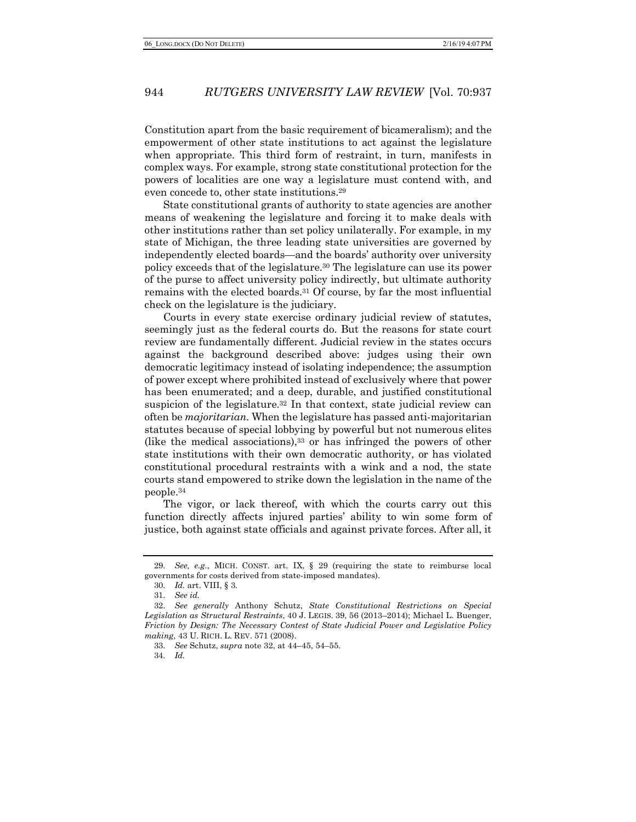Constitution apart from the basic requirement of bicameralism); and the empowerment of other state institutions to act against the legislature when appropriate. This third form of restraint, in turn, manifests in complex ways. For example, strong state constitutional protection for the powers of localities are one way a legislature must contend with, and even concede to, other state institutions.29

State constitutional grants of authority to state agencies are another means of weakening the legislature and forcing it to make deals with other institutions rather than set policy unilaterally. For example, in my state of Michigan, the three leading state universities are governed by independently elected boards—and the boards' authority over university policy exceeds that of the legislature.30 The legislature can use its power of the purse to affect university policy indirectly, but ultimate authority remains with the elected boards.31 Of course, by far the most influential check on the legislature is the judiciary.

Courts in every state exercise ordinary judicial review of statutes, seemingly just as the federal courts do. But the reasons for state court review are fundamentally different. Judicial review in the states occurs against the background described above: judges using their own democratic legitimacy instead of isolating independence; the assumption of power except where prohibited instead of exclusively where that power has been enumerated; and a deep, durable, and justified constitutional suspicion of the legislature.<sup>32</sup> In that context, state judicial review can often be *majoritarian*. When the legislature has passed anti-majoritarian statutes because of special lobbying by powerful but not numerous elites (like the medical associations),33 or has infringed the powers of other state institutions with their own democratic authority, or has violated constitutional procedural restraints with a wink and a nod, the state courts stand empowered to strike down the legislation in the name of the people.34

The vigor, or lack thereof, with which the courts carry out this function directly affects injured parties' ability to win some form of justice, both against state officials and against private forces. After all, it

34. *Id.*

<sup>29.</sup> *See, e.g.*, MICH. CONST. art. IX, § 29 (requiring the state to reimburse local governments for costs derived from state-imposed mandates).

<sup>30.</sup> *Id.* art. VIII, § 3.

<sup>31.</sup> *See id.*

<sup>32.</sup> *See generally* Anthony Schutz, *State Constitutional Restrictions on Special Legislation as Structural Restraints*, 40 J. LEGIS. 39, 56 (2013–2014); Michael L. Buenger, *Friction by Design: The Necessary Contest of State Judicial Power and Legislative Policy making*, 43 U. RICH. L. REV. 571 (2008).

<sup>33.</sup> *See* Schutz, *supra* note 32, at 44–45, 54–55.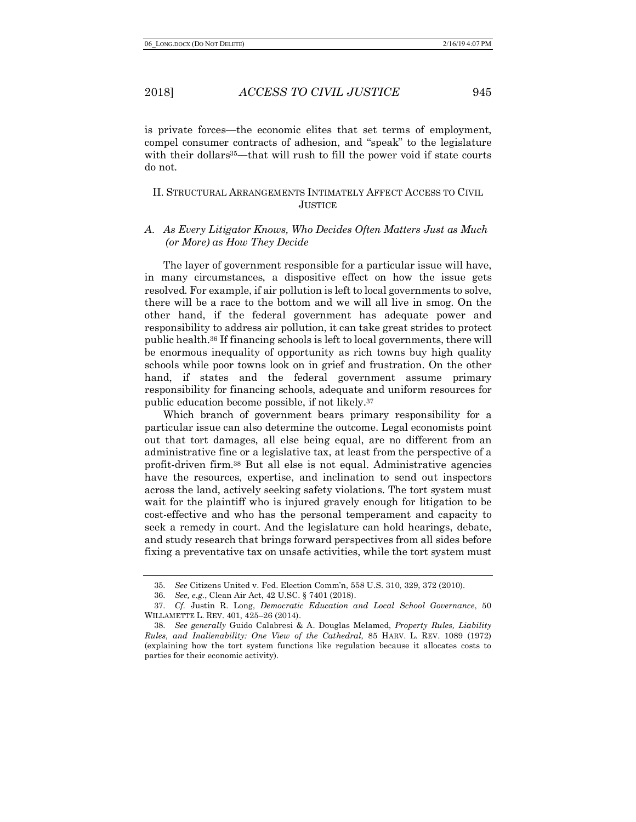is private forces—the economic elites that set terms of employment, compel consumer contracts of adhesion, and "speak" to the legislature with their dollars<sup>35</sup>—that will rush to fill the power void if state courts do not.

# II. STRUCTURAL ARRANGEMENTS INTIMATELY AFFECT ACCESS TO CIVIL **JUSTICE**

# *A. As Every Litigator Knows, Who Decides Often Matters Just as Much (or More) as How They Decide*

The layer of government responsible for a particular issue will have, in many circumstances, a dispositive effect on how the issue gets resolved. For example, if air pollution is left to local governments to solve, there will be a race to the bottom and we will all live in smog. On the other hand, if the federal government has adequate power and responsibility to address air pollution, it can take great strides to protect public health.36 If financing schools is left to local governments, there will be enormous inequality of opportunity as rich towns buy high quality schools while poor towns look on in grief and frustration. On the other hand, if states and the federal government assume primary responsibility for financing schools, adequate and uniform resources for public education become possible, if not likely.37

Which branch of government bears primary responsibility for a particular issue can also determine the outcome. Legal economists point out that tort damages, all else being equal, are no different from an administrative fine or a legislative tax, at least from the perspective of a profit-driven firm.38 But all else is not equal. Administrative agencies have the resources, expertise, and inclination to send out inspectors across the land, actively seeking safety violations. The tort system must wait for the plaintiff who is injured gravely enough for litigation to be cost-effective and who has the personal temperament and capacity to seek a remedy in court. And the legislature can hold hearings, debate, and study research that brings forward perspectives from all sides before fixing a preventative tax on unsafe activities, while the tort system must

<sup>35.</sup> *See* Citizens United v. Fed. Election Comm'n, 558 U.S. 310, 329, 372 (2010).

<sup>36.</sup> *See, e.g.*, Clean Air Act, 42 U.SC. § 7401 (2018).

<sup>37.</sup> *Cf.* Justin R. Long, *Democratic Education and Local School Governance*, 50 WILLAMETTE L. REV. 401, 425–26 (2014).

<sup>38.</sup> *See generally* Guido Calabresi & A. Douglas Melamed, *Property Rules, Liability Rules, and Inalienability: One View of the Cathedral*, 85 HARV. L. REV. 1089 (1972) (explaining how the tort system functions like regulation because it allocates costs to parties for their economic activity).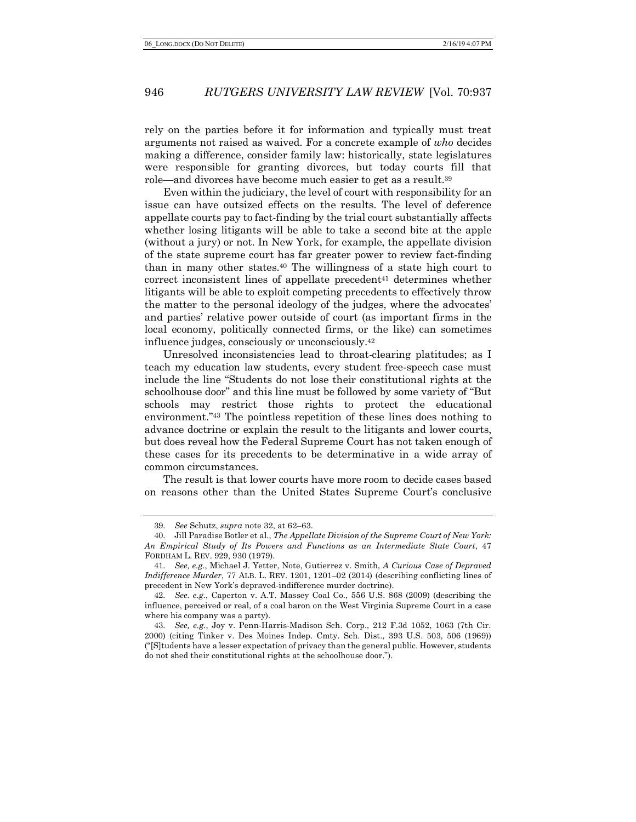rely on the parties before it for information and typically must treat arguments not raised as waived. For a concrete example of *who* decides making a difference, consider family law: historically, state legislatures were responsible for granting divorces, but today courts fill that role—and divorces have become much easier to get as a result.39

Even within the judiciary, the level of court with responsibility for an issue can have outsized effects on the results. The level of deference appellate courts pay to fact-finding by the trial court substantially affects whether losing litigants will be able to take a second bite at the apple (without a jury) or not. In New York, for example, the appellate division of the state supreme court has far greater power to review fact-finding than in many other states.40 The willingness of a state high court to correct inconsistent lines of appellate precedent $41$  determines whether litigants will be able to exploit competing precedents to effectively throw the matter to the personal ideology of the judges, where the advocates' and parties' relative power outside of court (as important firms in the local economy, politically connected firms, or the like) can sometimes influence judges, consciously or unconsciously.42

Unresolved inconsistencies lead to throat-clearing platitudes; as I teach my education law students, every student free-speech case must include the line "Students do not lose their constitutional rights at the schoolhouse door" and this line must be followed by some variety of "But schools may restrict those rights to protect the educational environment."43 The pointless repetition of these lines does nothing to advance doctrine or explain the result to the litigants and lower courts, but does reveal how the Federal Supreme Court has not taken enough of these cases for its precedents to be determinative in a wide array of common circumstances.

The result is that lower courts have more room to decide cases based on reasons other than the United States Supreme Court's conclusive

<sup>39.</sup> *See* Schutz, *supra* note 32, at 62–63.

<sup>40.</sup> Jill Paradise Botler et al., *The Appellate Division of the Supreme Court of New York: An Empirical Study of Its Powers and Functions as an Intermediate State Court*, 47 FORDHAM L. REV. 929, 930 (1979).

<sup>41.</sup> *See, e.g.*, Michael J. Yetter, Note, Gutierrez v. Smith, *A Curious Case of Depraved Indifference Murder*, 77 ALB. L. REV. 1201, 1201–02 (2014) (describing conflicting lines of precedent in New York's depraved-indifference murder doctrine).

<sup>42.</sup> *See. e.g.*, Caperton v. A.T. Massey Coal Co., 556 U.S. 868 (2009) (describing the influence, perceived or real, of a coal baron on the West Virginia Supreme Court in a case where his company was a party).

<sup>43.</sup> *See, e.g.*, Joy v. Penn-Harris-Madison Sch. Corp., 212 F.3d 1052, 1063 (7th Cir. 2000) (citing Tinker v. Des Moines Indep. Cmty. Sch. Dist., 393 U.S. 503, 506 (1969)) ("[S]tudents have a lesser expectation of privacy than the general public. However, students do not shed their constitutional rights at the schoolhouse door.").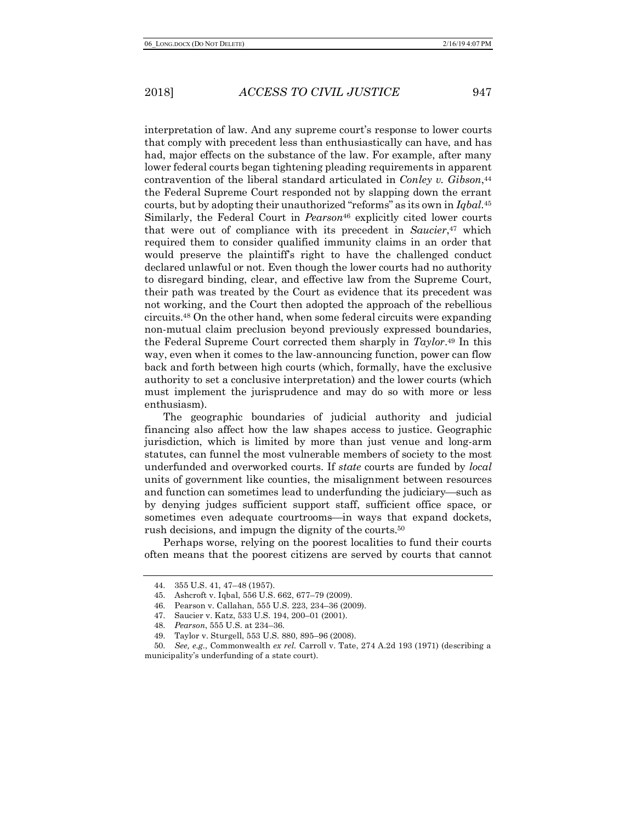interpretation of law. And any supreme court's response to lower courts that comply with precedent less than enthusiastically can have, and has had, major effects on the substance of the law. For example, after many lower federal courts began tightening pleading requirements in apparent contravention of the liberal standard articulated in *Conley v. Gibson*,44 the Federal Supreme Court responded not by slapping down the errant courts, but by adopting their unauthorized "reforms" as its own in *Iqbal*.45 Similarly, the Federal Court in *Pearson*<sup>46</sup> explicitly cited lower courts that were out of compliance with its precedent in *Saucier*,47 which required them to consider qualified immunity claims in an order that would preserve the plaintiff's right to have the challenged conduct declared unlawful or not. Even though the lower courts had no authority to disregard binding, clear, and effective law from the Supreme Court, their path was treated by the Court as evidence that its precedent was not working, and the Court then adopted the approach of the rebellious circuits.48 On the other hand, when some federal circuits were expanding non-mutual claim preclusion beyond previously expressed boundaries, the Federal Supreme Court corrected them sharply in *Taylor*.49 In this way, even when it comes to the law-announcing function, power can flow back and forth between high courts (which, formally, have the exclusive authority to set a conclusive interpretation) and the lower courts (which must implement the jurisprudence and may do so with more or less enthusiasm).

The geographic boundaries of judicial authority and judicial financing also affect how the law shapes access to justice. Geographic jurisdiction, which is limited by more than just venue and long-arm statutes, can funnel the most vulnerable members of society to the most underfunded and overworked courts. If *state* courts are funded by *local* units of government like counties, the misalignment between resources and function can sometimes lead to underfunding the judiciary—such as by denying judges sufficient support staff, sufficient office space, or sometimes even adequate courtrooms—in ways that expand dockets, rush decisions, and impugn the dignity of the courts.50

Perhaps worse, relying on the poorest localities to fund their courts often means that the poorest citizens are served by courts that cannot

<sup>44.</sup> 355 U.S. 41, 47–48 (1957).

<sup>45.</sup> Ashcroft v. Iqbal, 556 U.S. 662, 677–79 (2009).

<sup>46.</sup> Pearson v. Callahan, 555 U.S. 223, 234–36 (2009).

<sup>47.</sup> Saucier v. Katz, 533 U.S. 194, 200–01 (2001).

<sup>48.</sup> *Pearson*, 555 U.S. at 234–36.

<sup>49.</sup> Taylor v. Sturgell, 553 U.S. 880, 895–96 (2008).

<sup>50.</sup> *See, e.g.*, Commonwealth *ex rel.* Carroll v. Tate, 274 A.2d 193 (1971) (describing a municipality's underfunding of a state court).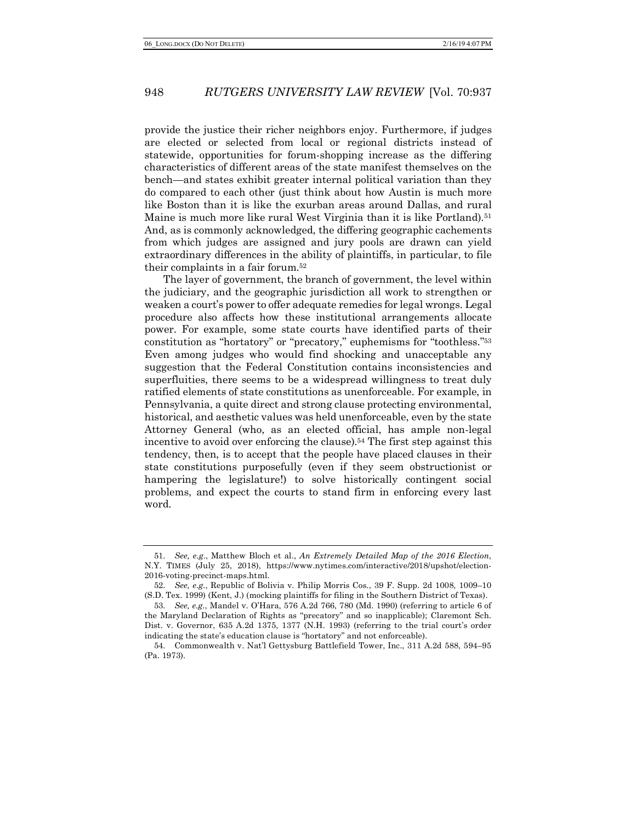provide the justice their richer neighbors enjoy. Furthermore, if judges are elected or selected from local or regional districts instead of statewide, opportunities for forum-shopping increase as the differing characteristics of different areas of the state manifest themselves on the bench—and states exhibit greater internal political variation than they do compared to each other (just think about how Austin is much more like Boston than it is like the exurban areas around Dallas, and rural Maine is much more like rural West Virginia than it is like Portland).<sup>51</sup> And, as is commonly acknowledged, the differing geographic cachements from which judges are assigned and jury pools are drawn can yield extraordinary differences in the ability of plaintiffs, in particular, to file their complaints in a fair forum.52

The layer of government, the branch of government, the level within the judiciary, and the geographic jurisdiction all work to strengthen or weaken a court's power to offer adequate remedies for legal wrongs. Legal procedure also affects how these institutional arrangements allocate power. For example, some state courts have identified parts of their constitution as "hortatory" or "precatory," euphemisms for "toothless."53 Even among judges who would find shocking and unacceptable any suggestion that the Federal Constitution contains inconsistencies and superfluities, there seems to be a widespread willingness to treat duly ratified elements of state constitutions as unenforceable. For example, in Pennsylvania, a quite direct and strong clause protecting environmental, historical, and aesthetic values was held unenforceable, even by the state Attorney General (who, as an elected official, has ample non-legal incentive to avoid over enforcing the clause).<sup>54</sup> The first step against this tendency, then, is to accept that the people have placed clauses in their state constitutions purposefully (even if they seem obstructionist or hampering the legislature!) to solve historically contingent social problems, and expect the courts to stand firm in enforcing every last word.

<sup>51.</sup> *See, e.g.*, Matthew Bloch et al., *An Extremely Detailed Map of the 2016 Election*, N.Y. TIMES (July 25, 2018), https://www.nytimes.com/interactive/2018/upshot/election-2016-voting-precinct-maps.html.

<sup>52.</sup> *See, e.g.*, Republic of Bolivia v. Philip Morris Cos., 39 F. Supp. 2d 1008, 1009–10 (S.D. Tex. 1999) (Kent, J.) (mocking plaintiffs for filing in the Southern District of Texas).

<sup>53.</sup> *See, e.g.*, Mandel v. O'Hara, 576 A.2d 766, 780 (Md. 1990) (referring to article 6 of the Maryland Declaration of Rights as "precatory" and so inapplicable); Claremont Sch. Dist. v. Governor, 635 A.2d 1375, 1377 (N.H. 1993) (referring to the trial court's order indicating the state's education clause is "hortatory" and not enforceable).

<sup>54.</sup> Commonwealth v. Nat'l Gettysburg Battlefield Tower, Inc., 311 A.2d 588, 594–95 (Pa. 1973).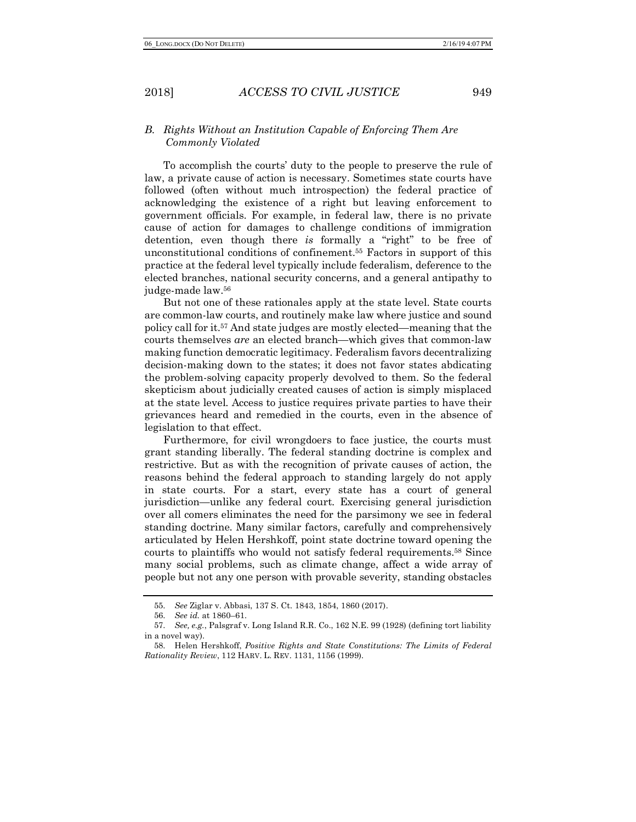# *B. Rights Without an Institution Capable of Enforcing Them Are Commonly Violated*

To accomplish the courts' duty to the people to preserve the rule of law, a private cause of action is necessary. Sometimes state courts have followed (often without much introspection) the federal practice of acknowledging the existence of a right but leaving enforcement to government officials. For example, in federal law, there is no private cause of action for damages to challenge conditions of immigration detention, even though there *is* formally a "right" to be free of unconstitutional conditions of confinement.55 Factors in support of this practice at the federal level typically include federalism, deference to the elected branches, national security concerns, and a general antipathy to judge-made law.56

But not one of these rationales apply at the state level. State courts are common-law courts, and routinely make law where justice and sound policy call for it.57 And state judges are mostly elected—meaning that the courts themselves *are* an elected branch—which gives that common-law making function democratic legitimacy. Federalism favors decentralizing decision-making down to the states; it does not favor states abdicating the problem-solving capacity properly devolved to them. So the federal skepticism about judicially created causes of action is simply misplaced at the state level. Access to justice requires private parties to have their grievances heard and remedied in the courts, even in the absence of legislation to that effect.

Furthermore, for civil wrongdoers to face justice, the courts must grant standing liberally. The federal standing doctrine is complex and restrictive. But as with the recognition of private causes of action, the reasons behind the federal approach to standing largely do not apply in state courts. For a start, every state has a court of general jurisdiction—unlike any federal court. Exercising general jurisdiction over all comers eliminates the need for the parsimony we see in federal standing doctrine. Many similar factors, carefully and comprehensively articulated by Helen Hershkoff, point state doctrine toward opening the courts to plaintiffs who would not satisfy federal requirements.58 Since many social problems, such as climate change, affect a wide array of people but not any one person with provable severity, standing obstacles

<sup>55.</sup> *See* Ziglar v. Abbasi, 137 S. Ct. 1843, 1854, 1860 (2017).

<sup>56.</sup> *See id.* at 1860–61.

<sup>57.</sup> *See, e.g.*, Palsgraf v. Long Island R.R. Co., 162 N.E. 99 (1928) (defining tort liability in a novel way).

<sup>58.</sup> Helen Hershkoff, *Positive Rights and State Constitutions: The Limits of Federal Rationality Review*, 112 HARV. L. REV. 1131, 1156 (1999).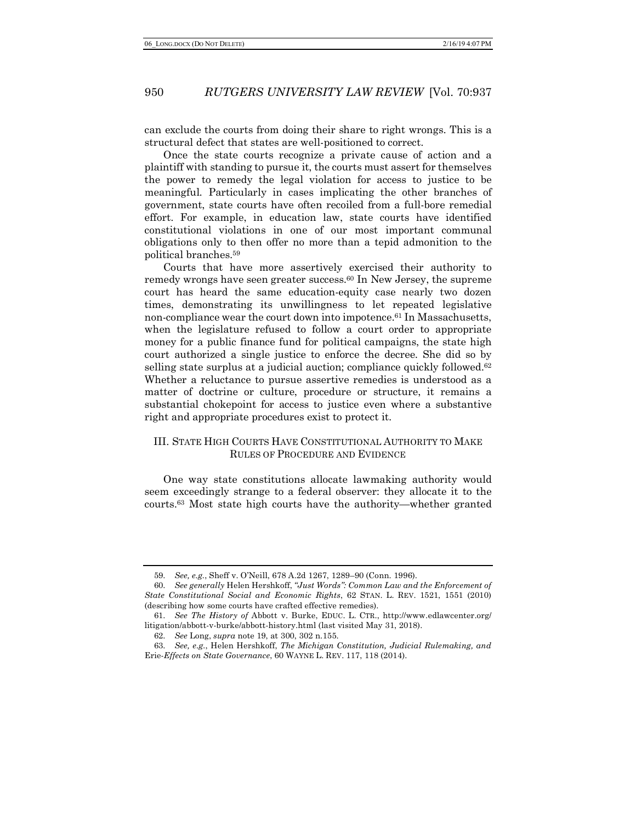can exclude the courts from doing their share to right wrongs. This is a structural defect that states are well-positioned to correct.

Once the state courts recognize a private cause of action and a plaintiff with standing to pursue it, the courts must assert for themselves the power to remedy the legal violation for access to justice to be meaningful. Particularly in cases implicating the other branches of government, state courts have often recoiled from a full-bore remedial effort. For example, in education law, state courts have identified constitutional violations in one of our most important communal obligations only to then offer no more than a tepid admonition to the political branches.59

Courts that have more assertively exercised their authority to remedy wrongs have seen greater success.60 In New Jersey, the supreme court has heard the same education-equity case nearly two dozen times, demonstrating its unwillingness to let repeated legislative non-compliance wear the court down into impotence.61 In Massachusetts, when the legislature refused to follow a court order to appropriate money for a public finance fund for political campaigns, the state high court authorized a single justice to enforce the decree. She did so by selling state surplus at a judicial auction; compliance quickly followed.<sup>62</sup> Whether a reluctance to pursue assertive remedies is understood as a matter of doctrine or culture, procedure or structure, it remains a substantial chokepoint for access to justice even where a substantive right and appropriate procedures exist to protect it.

# III. STATE HIGH COURTS HAVE CONSTITUTIONAL AUTHORITY TO MAKE RULES OF PROCEDURE AND EVIDENCE

One way state constitutions allocate lawmaking authority would seem exceedingly strange to a federal observer: they allocate it to the courts.63 Most state high courts have the authority—whether granted

<sup>59.</sup> *See, e.g.*, Sheff v. O'Neill, 678 A.2d 1267, 1289–90 (Conn. 1996).

<sup>60.</sup> *See generally* Helen Hershkoff, *"Just Words": Common Law and the Enforcement of State Constitutional Social and Economic Rights*, 62 STAN. L. REV. 1521, 1551 (2010) (describing how some courts have crafted effective remedies).

<sup>61.</sup> *See The History of* Abbott v. Burke, EDUC. L. CTR., http://www.edlawcenter.org/ litigation/abbott-v-burke/abbott-history.html (last visited May 31, 2018).

<sup>62.</sup> *See* Long, *supra* note 19, at 300, 302 n.155.

<sup>63.</sup> *See, e.g.*, Helen Hershkoff, *The Michigan Constitution, Judicial Rulemaking, and*  Erie-*Effects on State Governance*, 60 WAYNE L. REV. 117, 118 (2014).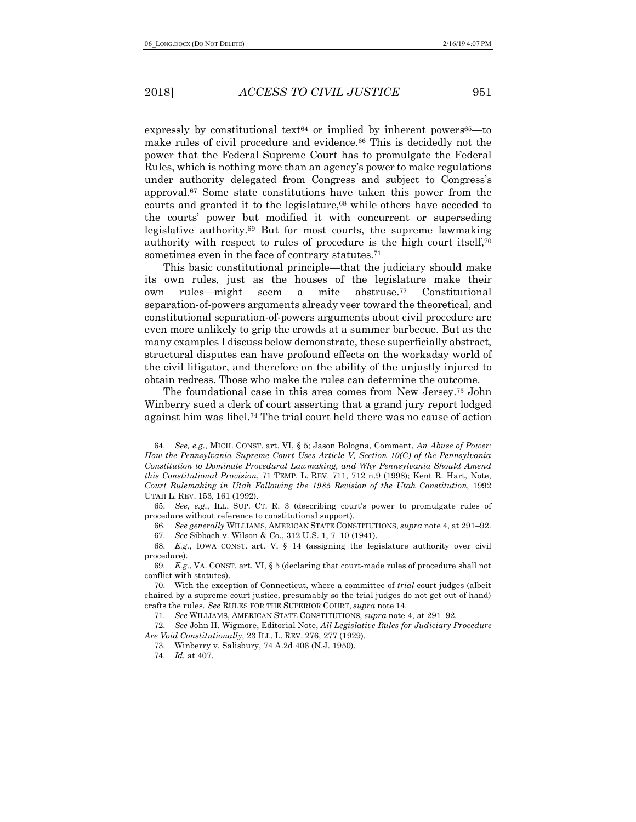expressly by constitutional text $64$  or implied by inherent powers $65$ —to make rules of civil procedure and evidence.66 This is decidedly not the power that the Federal Supreme Court has to promulgate the Federal Rules, which is nothing more than an agency's power to make regulations under authority delegated from Congress and subject to Congress's approval.67 Some state constitutions have taken this power from the courts and granted it to the legislature,<sup>68</sup> while others have acceded to the courts' power but modified it with concurrent or superseding legislative authority.69 But for most courts, the supreme lawmaking authority with respect to rules of procedure is the high court itself,<sup>70</sup> sometimes even in the face of contrary statutes.<sup>71</sup>

This basic constitutional principle—that the judiciary should make its own rules, just as the houses of the legislature make their own rules—might seem a mite abstruse.72 Constitutional separation-of-powers arguments already veer toward the theoretical, and constitutional separation-of-powers arguments about civil procedure are even more unlikely to grip the crowds at a summer barbecue. But as the many examples I discuss below demonstrate, these superficially abstract, structural disputes can have profound effects on the workaday world of the civil litigator, and therefore on the ability of the unjustly injured to obtain redress. Those who make the rules can determine the outcome.

The foundational case in this area comes from New Jersey.73 John Winberry sued a clerk of court asserting that a grand jury report lodged against him was libel.74 The trial court held there was no cause of action

66. *See generally* WILLIAMS, AMERICAN STATE CONSTITUTIONS, *supra* note 4, at 291–92.

67. *See* Sibbach v. Wilson & Co., 312 U.S. 1, 7–10 (1941).

72. *See* John H. Wigmore, Editorial Note, *All Legislative Rules for Judiciary Procedure Are Void Constitutionally*, 23 ILL. L. REV. 276, 277 (1929).

<sup>64.</sup> *See, e.g.*, MICH. CONST. art. VI, § 5; Jason Bologna, Comment, *An Abuse of Power: How the Pennsylvania Supreme Court Uses Article V, Section 10(C) of the Pennsylvania Constitution to Dominate Procedural Lawmaking, and Why Pennsylvania Should Amend this Constitutional Provision*, 71 TEMP. L. REV. 711, 712 n.9 (1998); Kent R. Hart, Note, *Court Rulemaking in Utah Following the 1985 Revision of the Utah Constitution*, 1992 UTAH L. REV. 153, 161 (1992).

<sup>65.</sup> *See, e.g.*, ILL. SUP. CT. R. 3 (describing court's power to promulgate rules of procedure without reference to constitutional support).

<sup>68.</sup> *E.g.*, IOWA CONST. art. V, § 14 (assigning the legislature authority over civil procedure).

<sup>69.</sup> *E.g.*, VA. CONST. art. VI, § 5 (declaring that court-made rules of procedure shall not conflict with statutes).

<sup>70.</sup> With the exception of Connecticut, where a committee of *trial* court judges (albeit chaired by a supreme court justice, presumably so the trial judges do not get out of hand) crafts the rules. *See* RULES FOR THE SUPERIOR COURT, *supra* note 14.

<sup>71.</sup> *See* WILLIAMS, AMERICAN STATE CONSTITUTIONS, *supra* note 4, at 291–92.

<sup>73.</sup> Winberry v. Salisbury, 74 A.2d 406 (N.J. 1950).

<sup>74.</sup> *Id.* at 407.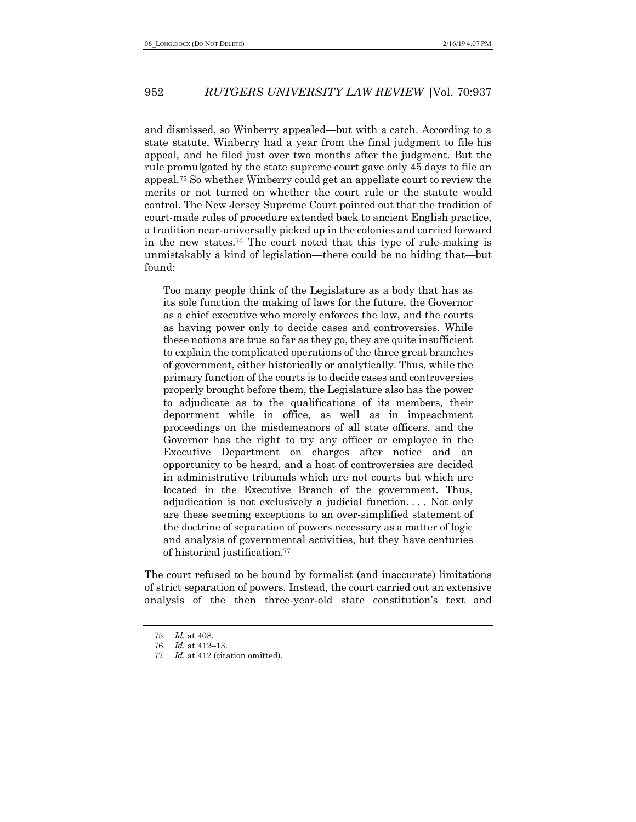and dismissed, so Winberry appealed—but with a catch. According to a state statute, Winberry had a year from the final judgment to file his appeal, and he filed just over two months after the judgment. But the rule promulgated by the state supreme court gave only 45 days to file an appeal.75 So whether Winberry could get an appellate court to review the merits or not turned on whether the court rule or the statute would control. The New Jersey Supreme Court pointed out that the tradition of court-made rules of procedure extended back to ancient English practice, a tradition near-universally picked up in the colonies and carried forward in the new states.76 The court noted that this type of rule-making is unmistakably a kind of legislation—there could be no hiding that—but found:

Too many people think of the Legislature as a body that has as its sole function the making of laws for the future, the Governor as a chief executive who merely enforces the law, and the courts as having power only to decide cases and controversies. While these notions are true so far as they go, they are quite insufficient to explain the complicated operations of the three great branches of government, either historically or analytically. Thus, while the primary function of the courts is to decide cases and controversies properly brought before them, the Legislature also has the power to adjudicate as to the qualifications of its members, their deportment while in office, as well as in impeachment proceedings on the misdemeanors of all state officers, and the Governor has the right to try any officer or employee in the Executive Department on charges after notice and an opportunity to be heard, and a host of controversies are decided in administrative tribunals which are not courts but which are located in the Executive Branch of the government. Thus, adjudication is not exclusively a judicial function. . . . Not only are these seeming exceptions to an over-simplified statement of the doctrine of separation of powers necessary as a matter of logic and analysis of governmental activities, but they have centuries of historical justification.77

The court refused to be bound by formalist (and inaccurate) limitations of strict separation of powers. Instead, the court carried out an extensive analysis of the then three-year-old state constitution's text and

<sup>75.</sup> *Id.* at 408.

<sup>76.</sup> *Id.* at 412–13.

<sup>77.</sup> *Id.* at 412 (citation omitted).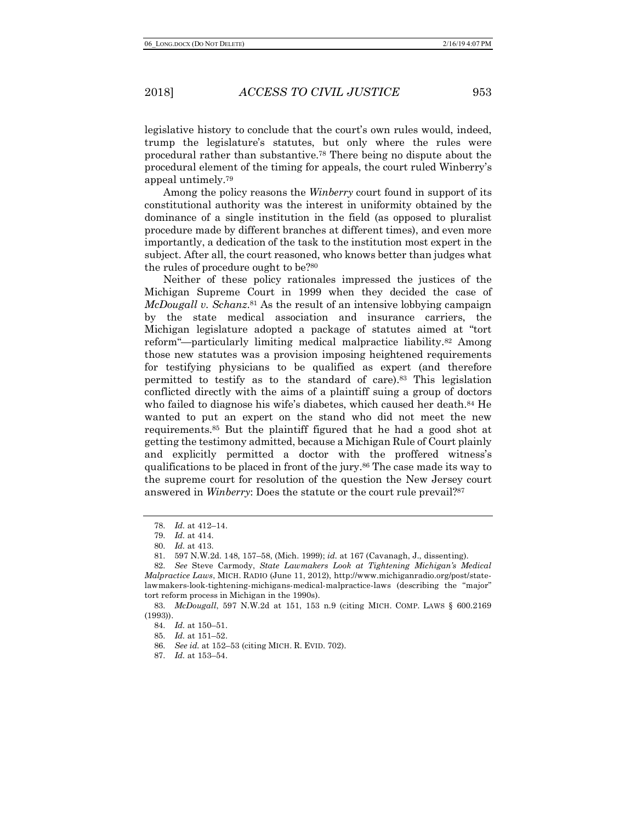legislative history to conclude that the court's own rules would, indeed, trump the legislature's statutes, but only where the rules were procedural rather than substantive.78 There being no dispute about the procedural element of the timing for appeals, the court ruled Winberry's appeal untimely.79

Among the policy reasons the *Winberry* court found in support of its constitutional authority was the interest in uniformity obtained by the dominance of a single institution in the field (as opposed to pluralist procedure made by different branches at different times), and even more importantly, a dedication of the task to the institution most expert in the subject. After all, the court reasoned, who knows better than judges what the rules of procedure ought to be?80

Neither of these policy rationales impressed the justices of the Michigan Supreme Court in 1999 when they decided the case of *McDougall v. Schanz*<sup>81</sup> As the result of an intensive lobbying campaign by the state medical association and insurance carriers, the Michigan legislature adopted a package of statutes aimed at "tort reform"—particularly limiting medical malpractice liability.82 Among those new statutes was a provision imposing heightened requirements for testifying physicians to be qualified as expert (and therefore permitted to testify as to the standard of care).83 This legislation conflicted directly with the aims of a plaintiff suing a group of doctors who failed to diagnose his wife's diabetes, which caused her death.<sup>84</sup> He wanted to put an expert on the stand who did not meet the new requirements.85 But the plaintiff figured that he had a good shot at getting the testimony admitted, because a Michigan Rule of Court plainly and explicitly permitted a doctor with the proffered witness's qualifications to be placed in front of the jury.86 The case made its way to the supreme court for resolution of the question the New Jersey court answered in *Winberry*: Does the statute or the court rule prevail?87

<sup>78.</sup> *Id.* at 412–14.

<sup>79.</sup> *Id.* at 414.

<sup>80.</sup> *Id.* at 413.

<sup>81.</sup> 597 N.W.2d. 148, 157–58, (Mich. 1999); *id.* at 167 (Cavanagh, J., dissenting).

<sup>82.</sup> *See* Steve Carmody, *State Lawmakers Look at Tightening Michigan's Medical Malpractice Laws*, MICH. RADIO (June 11, 2012), http://www.michiganradio.org/post/statelawmakers-look-tightening-michigans-medical-malpractice-laws (describing the "major" tort reform process in Michigan in the 1990s).

<sup>83.</sup> *McDougall*, 597 N.W.2d at 151, 153 n.9 (citing MICH. COMP. LAWS § 600.2169 (1993)).

<sup>84.</sup> *Id.* at 150–51.

<sup>85.</sup> *Id.* at 151–52.

<sup>86.</sup> *See id.* at 152–53 (citing MICH. R. EVID. 702).

<sup>87.</sup> *Id.* at 153–54.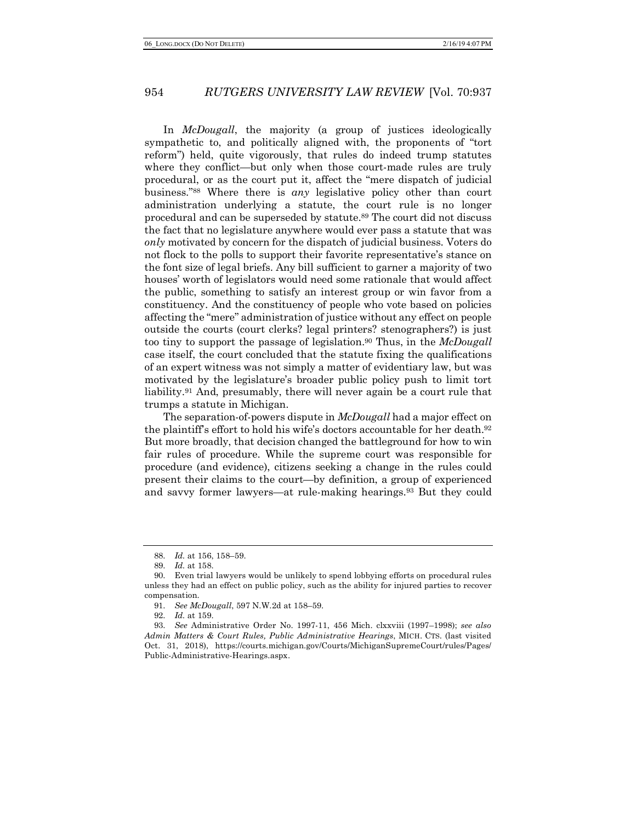In *McDougall*, the majority (a group of justices ideologically sympathetic to, and politically aligned with, the proponents of "tort reform") held, quite vigorously, that rules do indeed trump statutes where they conflict—but only when those court-made rules are truly procedural, or as the court put it, affect the "mere dispatch of judicial business."88 Where there is *any* legislative policy other than court administration underlying a statute, the court rule is no longer procedural and can be superseded by statute.89 The court did not discuss the fact that no legislature anywhere would ever pass a statute that was *only* motivated by concern for the dispatch of judicial business. Voters do not flock to the polls to support their favorite representative's stance on the font size of legal briefs. Any bill sufficient to garner a majority of two houses' worth of legislators would need some rationale that would affect the public, something to satisfy an interest group or win favor from a constituency. And the constituency of people who vote based on policies affecting the "mere" administration of justice without any effect on people outside the courts (court clerks? legal printers? stenographers?) is just too tiny to support the passage of legislation.90 Thus, in the *McDougall* case itself, the court concluded that the statute fixing the qualifications of an expert witness was not simply a matter of evidentiary law, but was motivated by the legislature's broader public policy push to limit tort liability.91 And, presumably, there will never again be a court rule that trumps a statute in Michigan.

The separation-of-powers dispute in *McDougall* had a major effect on the plaintiff's effort to hold his wife's doctors accountable for her death.92 But more broadly, that decision changed the battleground for how to win fair rules of procedure. While the supreme court was responsible for procedure (and evidence), citizens seeking a change in the rules could present their claims to the court—by definition, a group of experienced and savvy former lawyers—at rule-making hearings.93 But they could

<sup>88.</sup> *Id.* at 156, 158–59.

<sup>89.</sup> *Id.* at 158.

<sup>90.</sup> Even trial lawyers would be unlikely to spend lobbying efforts on procedural rules unless they had an effect on public policy, such as the ability for injured parties to recover compensation.

<sup>91.</sup> *See McDougall*, 597 N.W.2d at 158–59.

<sup>92.</sup> *Id.* at 159.

<sup>93.</sup> *See* Administrative Order No. 1997-11, 456 Mich. clxxviii (1997–1998); *see also Admin Matters & Court Rules, Public Administrative Hearings*, MICH. CTS. (last visited Oct. 31, 2018), https://courts.michigan.gov/Courts/MichiganSupremeCourt/rules/Pages/ Public-Administrative-Hearings.aspx.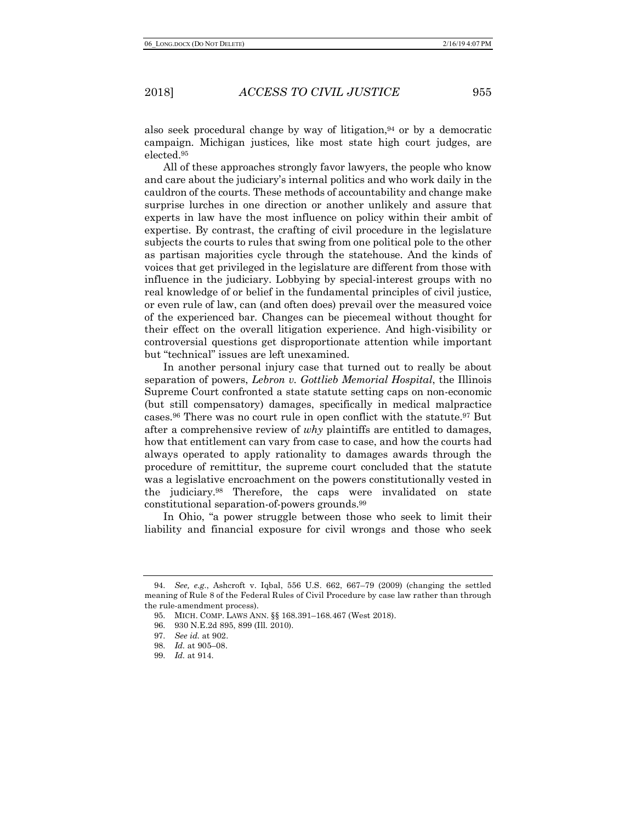also seek procedural change by way of litigation, $94$  or by a democratic campaign. Michigan justices, like most state high court judges, are elected.95

All of these approaches strongly favor lawyers, the people who know and care about the judiciary's internal politics and who work daily in the cauldron of the courts. These methods of accountability and change make surprise lurches in one direction or another unlikely and assure that experts in law have the most influence on policy within their ambit of expertise. By contrast, the crafting of civil procedure in the legislature subjects the courts to rules that swing from one political pole to the other as partisan majorities cycle through the statehouse. And the kinds of voices that get privileged in the legislature are different from those with influence in the judiciary. Lobbying by special-interest groups with no real knowledge of or belief in the fundamental principles of civil justice, or even rule of law, can (and often does) prevail over the measured voice of the experienced bar. Changes can be piecemeal without thought for their effect on the overall litigation experience. And high-visibility or controversial questions get disproportionate attention while important but "technical" issues are left unexamined.

In another personal injury case that turned out to really be about separation of powers, *Lebron v. Gottlieb Memorial Hospital*, the Illinois Supreme Court confronted a state statute setting caps on non-economic (but still compensatory) damages, specifically in medical malpractice cases.96 There was no court rule in open conflict with the statute.97 But after a comprehensive review of *why* plaintiffs are entitled to damages, how that entitlement can vary from case to case, and how the courts had always operated to apply rationality to damages awards through the procedure of remittitur, the supreme court concluded that the statute was a legislative encroachment on the powers constitutionally vested in the judiciary.98 Therefore, the caps were invalidated on state constitutional separation-of-powers grounds.99

In Ohio, "a power struggle between those who seek to limit their liability and financial exposure for civil wrongs and those who seek

<sup>94.</sup> *See, e.g.*, Ashcroft v. Iqbal, 556 U.S. 662, 667–79 (2009) (changing the settled meaning of Rule 8 of the Federal Rules of Civil Procedure by case law rather than through the rule-amendment process).

<sup>95.</sup> MICH. COMP. LAWS ANN. §§ 168.391–168.467 (West 2018).

<sup>96.</sup> 930 N.E.2d 895, 899 (Ill. 2010).

<sup>97.</sup> *See id.* at 902.

<sup>98.</sup> *Id.* at 905–08.

<sup>99.</sup> *Id.* at 914.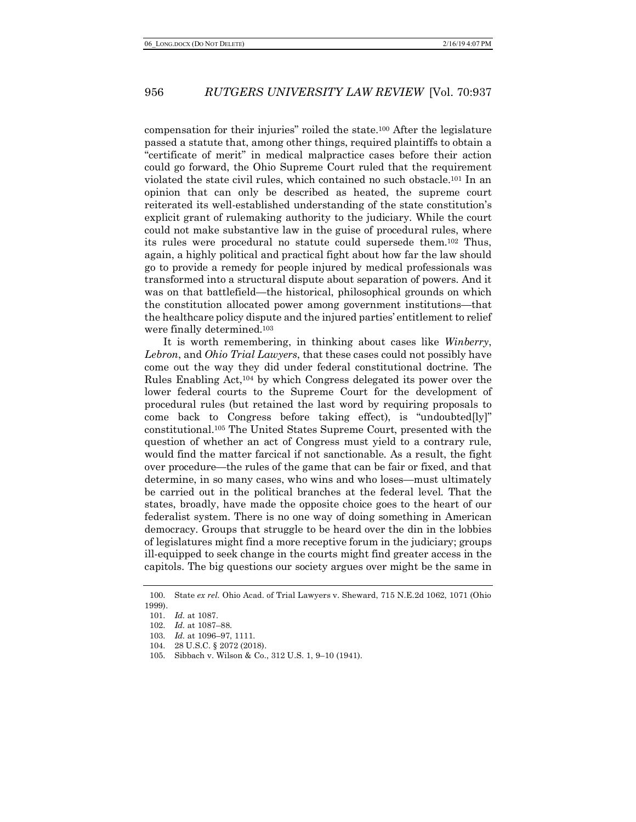compensation for their injuries" roiled the state.100 After the legislature passed a statute that, among other things, required plaintiffs to obtain a "certificate of merit" in medical malpractice cases before their action could go forward, the Ohio Supreme Court ruled that the requirement violated the state civil rules, which contained no such obstacle.101 In an opinion that can only be described as heated, the supreme court reiterated its well-established understanding of the state constitution's explicit grant of rulemaking authority to the judiciary. While the court could not make substantive law in the guise of procedural rules, where its rules were procedural no statute could supersede them.102 Thus, again, a highly political and practical fight about how far the law should go to provide a remedy for people injured by medical professionals was transformed into a structural dispute about separation of powers. And it was on that battlefield—the historical, philosophical grounds on which the constitution allocated power among government institutions—that the healthcare policy dispute and the injured parties' entitlement to relief were finally determined.103

It is worth remembering, in thinking about cases like *Winberry*, *Lebron*, and *Ohio Trial Lawyers*, that these cases could not possibly have come out the way they did under federal constitutional doctrine. The Rules Enabling Act,104 by which Congress delegated its power over the lower federal courts to the Supreme Court for the development of procedural rules (but retained the last word by requiring proposals to come back to Congress before taking effect), is "undoubted[ly]" constitutional.105 The United States Supreme Court, presented with the question of whether an act of Congress must yield to a contrary rule, would find the matter farcical if not sanctionable. As a result, the fight over procedure—the rules of the game that can be fair or fixed, and that determine, in so many cases, who wins and who loses—must ultimately be carried out in the political branches at the federal level. That the states, broadly, have made the opposite choice goes to the heart of our federalist system. There is no one way of doing something in American democracy. Groups that struggle to be heard over the din in the lobbies of legislatures might find a more receptive forum in the judiciary; groups ill-equipped to seek change in the courts might find greater access in the capitols. The big questions our society argues over might be the same in

<sup>100.</sup> State *ex rel.* Ohio Acad. of Trial Lawyers v. Sheward, 715 N.E.2d 1062, 1071 (Ohio 1999).

<sup>101.</sup> *Id.* at 1087.

<sup>102.</sup> *Id.* at 1087–88.

<sup>103.</sup> *Id.* at 1096–97, 1111.

<sup>104.</sup> 28 U.S.C. § 2072 (2018).

<sup>105.</sup> Sibbach v. Wilson & Co., 312 U.S. 1, 9–10 (1941).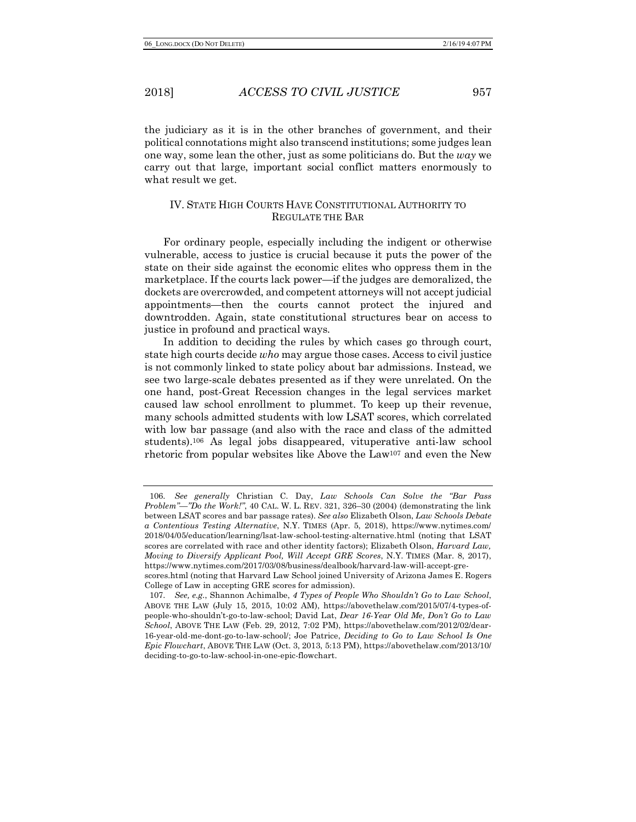the judiciary as it is in the other branches of government, and their political connotations might also transcend institutions; some judges lean one way, some lean the other, just as some politicians do. But the *way* we carry out that large, important social conflict matters enormously to what result we get.

# IV. STATE HIGH COURTS HAVE CONSTITUTIONAL AUTHORITY TO REGULATE THE BAR

For ordinary people, especially including the indigent or otherwise vulnerable, access to justice is crucial because it puts the power of the state on their side against the economic elites who oppress them in the marketplace. If the courts lack power—if the judges are demoralized, the dockets are overcrowded, and competent attorneys will not accept judicial appointments—then the courts cannot protect the injured and downtrodden. Again, state constitutional structures bear on access to justice in profound and practical ways.

In addition to deciding the rules by which cases go through court, state high courts decide *who* may argue those cases. Access to civil justice is not commonly linked to state policy about bar admissions. Instead, we see two large-scale debates presented as if they were unrelated. On the one hand, post-Great Recession changes in the legal services market caused law school enrollment to plummet. To keep up their revenue, many schools admitted students with low LSAT scores, which correlated with low bar passage (and also with the race and class of the admitted students).106 As legal jobs disappeared, vituperative anti-law school rhetoric from popular websites like Above the Law107 and even the New

<sup>106.</sup> *See generally* Christian C. Day, *Law Schools Can Solve the "Bar Pass Problem"—"Do the Work!"*, 40 CAL. W. L. REV. 321, 326–30 (2004) (demonstrating the link between LSAT scores and bar passage rates). *See also* Elizabeth Olson, *Law Schools Debate a Contentious Testing Alternative*, N.Y. TIMES (Apr. 5, 2018), https://www.nytimes.com/ 2018/04/05/education/learning/lsat-law-school-testing-alternative.html (noting that LSAT scores are correlated with race and other identity factors); Elizabeth Olson, *Harvard Law, Moving to Diversify Applicant Pool, Will Accept GRE Scores*, N.Y. TIMES (Mar. 8, 2017), https://www.nytimes.com/2017/03/08/business/dealbook/harvard-law-will-accept-grescores.html (noting that Harvard Law School joined University of Arizona James E. Rogers College of Law in accepting GRE scores for admission).

<sup>107.</sup> *See, e.g.*, Shannon Achimalbe, *4 Types of People Who Shouldn't Go to Law School*, ABOVE THE LAW (July 15, 2015, 10:02 AM), https://abovethelaw.com/2015/07/4-types-ofpeople-who-shouldn't-go-to-law-school; David Lat, *Dear 16-Year Old Me, Don't Go to Law School*, ABOVE THE LAW (Feb. 29, 2012, 7:02 PM), https://abovethelaw.com/2012/02/dear-16-year-old-me-dont-go-to-law-school/; Joe Patrice, *Deciding to Go to Law School Is One Epic Flowchart*, ABOVE THE LAW (Oct. 3, 2013, 5:13 PM), https://abovethelaw.com/2013/10/ deciding-to-go-to-law-school-in-one-epic-flowchart.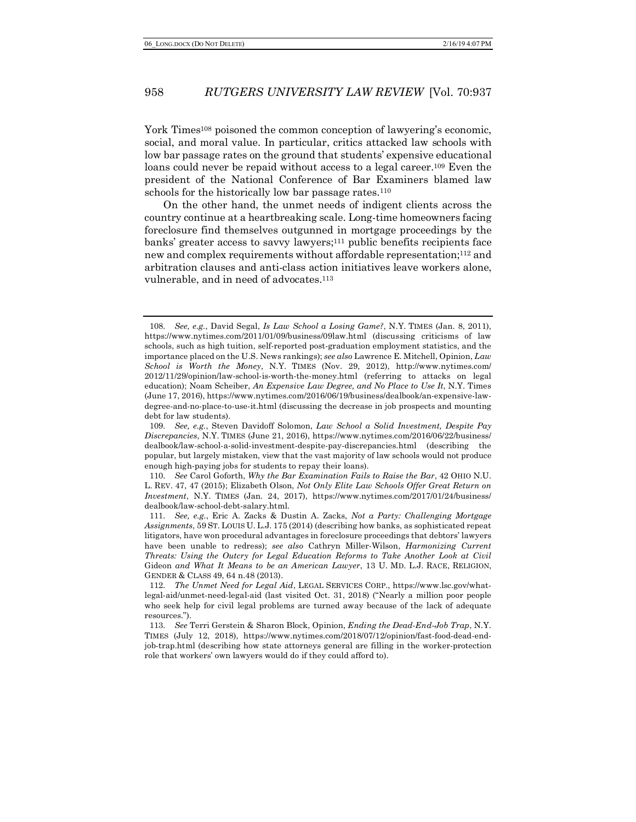York Times<sup>108</sup> poisoned the common conception of lawyering's economic, social, and moral value. In particular, critics attacked law schools with low bar passage rates on the ground that students' expensive educational loans could never be repaid without access to a legal career.<sup>109</sup> Even the president of the National Conference of Bar Examiners blamed law schools for the historically low bar passage rates.<sup>110</sup>

On the other hand, the unmet needs of indigent clients across the country continue at a heartbreaking scale. Long-time homeowners facing foreclosure find themselves outgunned in mortgage proceedings by the banks' greater access to savvy lawyers;<sup>111</sup> public benefits recipients face new and complex requirements without affordable representation;112 and arbitration clauses and anti-class action initiatives leave workers alone, vulnerable, and in need of advocates.<sup>113</sup>

<sup>108.</sup> *See, e.g.*, David Segal, *Is Law School a Losing Game?*, N.Y. TIMES (Jan. 8, 2011), https://www.nytimes.com/2011/01/09/business/09law.html (discussing criticisms of law schools, such as high tuition, self-reported post-graduation employment statistics, and the importance placed on the U.S. News rankings); *see also* Lawrence E. Mitchell, Opinion, *Law School is Worth the Money*, N.Y. TIMES (Nov. 29, 2012), http://www.nytimes.com/ 2012/11/29/opinion/law-school-is-worth-the-money.html (referring to attacks on legal education); Noam Scheiber, *An Expensive Law Degree, and No Place to Use It*, N.Y. Times (June 17, 2016), https://www.nytimes.com/2016/06/19/business/dealbook/an-expensive-lawdegree-and-no-place-to-use-it.html (discussing the decrease in job prospects and mounting debt for law students).

<sup>109.</sup> *See, e.g.*, Steven Davidoff Solomon, *Law School a Solid Investment, Despite Pay Discrepancies*, N.Y. TIMES (June 21, 2016), https://www.nytimes.com/2016/06/22/business/ dealbook/law-school-a-solid-investment-despite-pay-discrepancies.html (describing the popular, but largely mistaken, view that the vast majority of law schools would not produce enough high-paying jobs for students to repay their loans).

<sup>110.</sup> *See* Carol Goforth, *Why the Bar Examination Fails to Raise the Bar*, 42 OHIO N.U. L. REV. 47, 47 (2015); Elizabeth Olson, *Not Only Elite Law Schools Offer Great Return on Investment*, N.Y. TIMES (Jan. 24, 2017), https://www.nytimes.com/2017/01/24/business/ dealbook/law-school-debt-salary.html.

<sup>111.</sup> *See, e.g.*, Eric A. Zacks & Dustin A. Zacks, *Not a Party: Challenging Mortgage Assignments*, 59 ST. LOUIS U. L.J. 175 (2014) (describing how banks, as sophisticated repeat litigators, have won procedural advantages in foreclosure proceedings that debtors' lawyers have been unable to redress); *see also* Cathryn Miller-Wilson, *Harmonizing Current Threats: Using the Outcry for Legal Education Reforms to Take Another Look at Civil*  Gideon *and What It Means to be an American Lawyer*, 13 U. MD. L.J. RACE, RELIGION, GENDER & CLASS 49, 64 n.48 (2013).

<sup>112.</sup> *The Unmet Need for Legal Aid*, LEGAL SERVICES CORP., https://www.lsc.gov/whatlegal-aid/unmet-need-legal-aid (last visited Oct. 31, 2018) ("Nearly a million poor people who seek help for civil legal problems are turned away because of the lack of adequate resources.").

<sup>113.</sup> *See* Terri Gerstein & Sharon Block, Opinion, *Ending the Dead-End-Job Trap*, N.Y. TIMES (July 12, 2018), https://www.nytimes.com/2018/07/12/opinion/fast-food-dead-endjob-trap.html (describing how state attorneys general are filling in the worker-protection role that workers' own lawyers would do if they could afford to).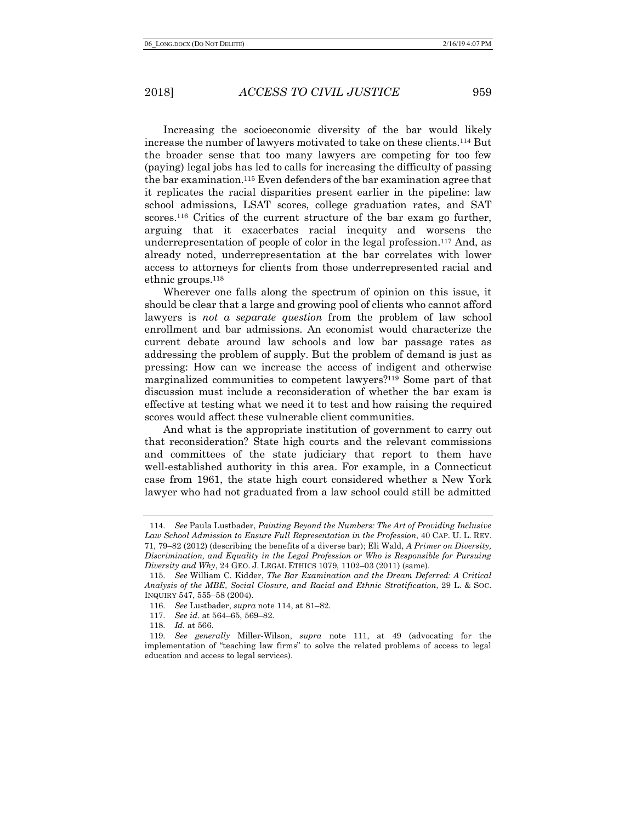Increasing the socioeconomic diversity of the bar would likely increase the number of lawyers motivated to take on these clients.114 But the broader sense that too many lawyers are competing for too few (paying) legal jobs has led to calls for increasing the difficulty of passing the bar examination.115 Even defenders of the bar examination agree that it replicates the racial disparities present earlier in the pipeline: law school admissions, LSAT scores, college graduation rates, and SAT scores.<sup>116</sup> Critics of the current structure of the bar exam go further, arguing that it exacerbates racial inequity and worsens the underrepresentation of people of color in the legal profession.117 And, as already noted, underrepresentation at the bar correlates with lower access to attorneys for clients from those underrepresented racial and ethnic groups.118

Wherever one falls along the spectrum of opinion on this issue, it should be clear that a large and growing pool of clients who cannot afford lawyers is *not a separate question* from the problem of law school enrollment and bar admissions. An economist would characterize the current debate around law schools and low bar passage rates as addressing the problem of supply. But the problem of demand is just as pressing: How can we increase the access of indigent and otherwise marginalized communities to competent lawyers?119 Some part of that discussion must include a reconsideration of whether the bar exam is effective at testing what we need it to test and how raising the required scores would affect these vulnerable client communities.

And what is the appropriate institution of government to carry out that reconsideration? State high courts and the relevant commissions and committees of the state judiciary that report to them have well-established authority in this area. For example, in a Connecticut case from 1961, the state high court considered whether a New York lawyer who had not graduated from a law school could still be admitted

<sup>114.</sup> *See* Paula Lustbader, *Painting Beyond the Numbers: The Art of Providing Inclusive Law School Admission to Ensure Full Representation in the Profession*, 40 CAP. U. L. REV. 71, 79–82 (2012) (describing the benefits of a diverse bar); Eli Wald, *A Primer on Diversity, Discrimination, and Equality in the Legal Profession or Who is Responsible for Pursuing Diversity and Why*, 24 GEO. J. LEGAL ETHICS 1079, 1102–03 (2011) (same).

<sup>115.</sup> *See* William C. Kidder, *The Bar Examination and the Dream Deferred: A Critical Analysis of the MBE, Social Closure, and Racial and Ethnic Stratification*, 29 L. & SOC. INQUIRY 547, 555–58 (2004).

<sup>116.</sup> *See* Lustbader, *supra* note 114, at 81–82.

<sup>117.</sup> *See id.* at 564–65, 569–82.

<sup>118.</sup> *Id.* at 566.

<sup>119.</sup> *See generally* Miller-Wilson, *supra* note 111, at 49 (advocating for the implementation of "teaching law firms" to solve the related problems of access to legal education and access to legal services).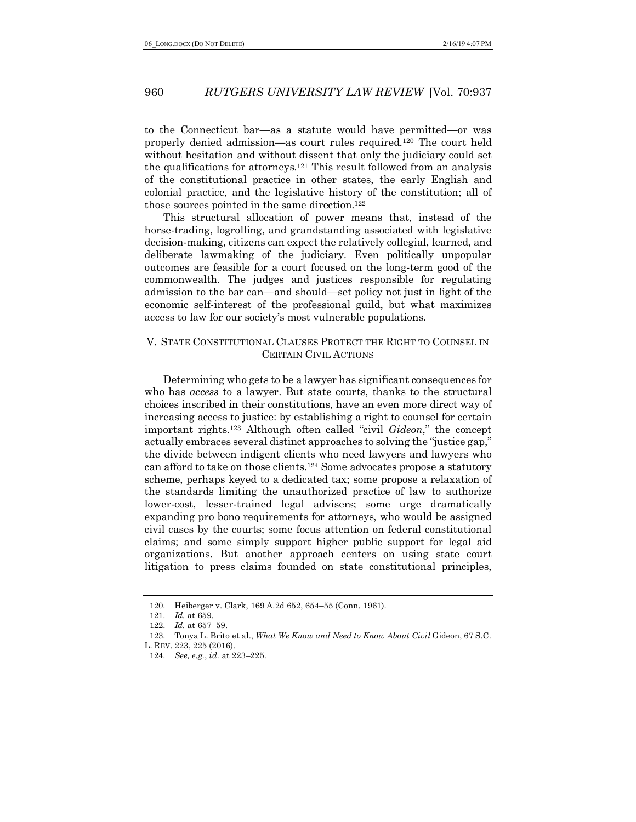to the Connecticut bar—as a statute would have permitted—or was properly denied admission—as court rules required.120 The court held without hesitation and without dissent that only the judiciary could set the qualifications for attorneys.121 This result followed from an analysis of the constitutional practice in other states, the early English and colonial practice, and the legislative history of the constitution; all of those sources pointed in the same direction.122

This structural allocation of power means that, instead of the horse-trading, logrolling, and grandstanding associated with legislative decision-making, citizens can expect the relatively collegial, learned, and deliberate lawmaking of the judiciary. Even politically unpopular outcomes are feasible for a court focused on the long-term good of the commonwealth. The judges and justices responsible for regulating admission to the bar can—and should—set policy not just in light of the economic self-interest of the professional guild, but what maximizes access to law for our society's most vulnerable populations.

# V. STATE CONSTITUTIONAL CLAUSES PROTECT THE RIGHT TO COUNSEL IN CERTAIN CIVIL ACTIONS

Determining who gets to be a lawyer has significant consequences for who has *access* to a lawyer. But state courts, thanks to the structural choices inscribed in their constitutions, have an even more direct way of increasing access to justice: by establishing a right to counsel for certain important rights.123 Although often called "civil *Gideon*," the concept actually embraces several distinct approaches to solving the "justice gap," the divide between indigent clients who need lawyers and lawyers who can afford to take on those clients.124 Some advocates propose a statutory scheme, perhaps keyed to a dedicated tax; some propose a relaxation of the standards limiting the unauthorized practice of law to authorize lower-cost, lesser-trained legal advisers; some urge dramatically expanding pro bono requirements for attorneys, who would be assigned civil cases by the courts; some focus attention on federal constitutional claims; and some simply support higher public support for legal aid organizations. But another approach centers on using state court litigation to press claims founded on state constitutional principles,

<sup>120.</sup> Heiberger v. Clark, 169 A.2d 652, 654–55 (Conn. 1961).

<sup>121.</sup> *Id.* at 659.

<sup>122.</sup> *Id.* at 657–59.

<sup>123.</sup> Tonya L. Brito et al., *What We Know and Need to Know About Civil* Gideon, 67 S.C.

L. REV. 223, 225 (2016).

<sup>124.</sup> *See, e.g.*, *id.* at 223–225.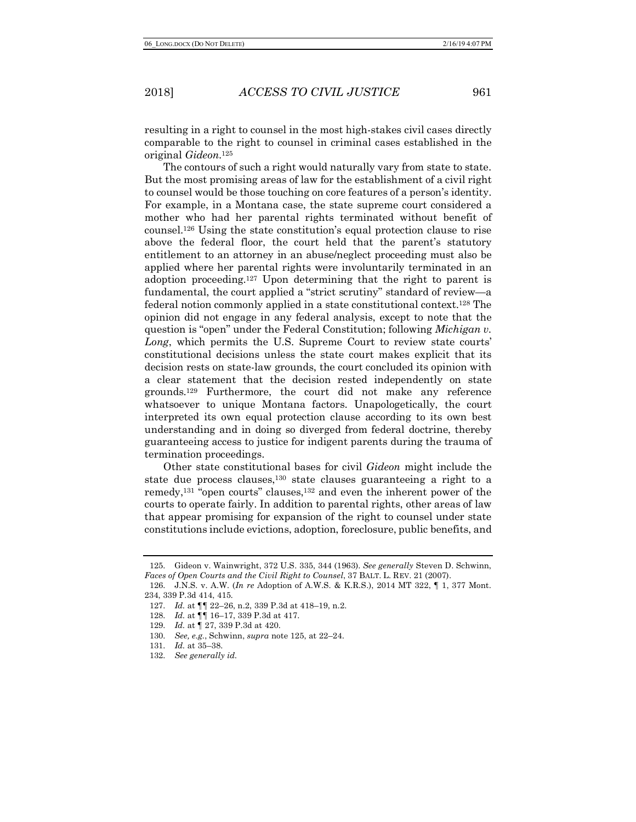resulting in a right to counsel in the most high-stakes civil cases directly comparable to the right to counsel in criminal cases established in the original *Gideon*.125

The contours of such a right would naturally vary from state to state. But the most promising areas of law for the establishment of a civil right to counsel would be those touching on core features of a person's identity. For example, in a Montana case, the state supreme court considered a mother who had her parental rights terminated without benefit of counsel.126 Using the state constitution's equal protection clause to rise above the federal floor, the court held that the parent's statutory entitlement to an attorney in an abuse/neglect proceeding must also be applied where her parental rights were involuntarily terminated in an adoption proceeding.127 Upon determining that the right to parent is fundamental, the court applied a "strict scrutiny" standard of review—a federal notion commonly applied in a state constitutional context.128 The opinion did not engage in any federal analysis, except to note that the question is "open" under the Federal Constitution; following *Michigan v. Long*, which permits the U.S. Supreme Court to review state courts' constitutional decisions unless the state court makes explicit that its decision rests on state-law grounds, the court concluded its opinion with a clear statement that the decision rested independently on state grounds.129 Furthermore, the court did not make any reference whatsoever to unique Montana factors. Unapologetically, the court interpreted its own equal protection clause according to its own best understanding and in doing so diverged from federal doctrine, thereby guaranteeing access to justice for indigent parents during the trauma of termination proceedings.

Other state constitutional bases for civil *Gideon* might include the state due process clauses,130 state clauses guaranteeing a right to a remedy,131 "open courts" clauses,132 and even the inherent power of the courts to operate fairly. In addition to parental rights, other areas of law that appear promising for expansion of the right to counsel under state constitutions include evictions, adoption, foreclosure, public benefits, and

<sup>125.</sup> Gideon v. Wainwright, 372 U.S. 335, 344 (1963). *See generally* Steven D. Schwinn, *Faces of Open Courts and the Civil Right to Counsel*, 37 BALT. L. REV. 21 (2007).

<sup>126.</sup> J.N.S. v. A.W. (*In re* Adoption of A.W.S. & K.R.S.), 2014 MT 322, ¶ 1, 377 Mont. 234, 339 P.3d 414, 415*.*

<sup>127.</sup> *Id.* at ¶¶ 22–26, n.2, 339 P.3d at 418–19, n.2.

<sup>128.</sup> *Id.* at ¶¶ 16–17, 339 P.3d at 417.

<sup>129.</sup> *Id.* at ¶ 27, 339 P.3d at 420.

<sup>130.</sup> *See, e.g.*, Schwinn, *supra* note 125, at 22–24.

<sup>131.</sup> *Id.* at 35–38.

<sup>132.</sup> *See generally id.*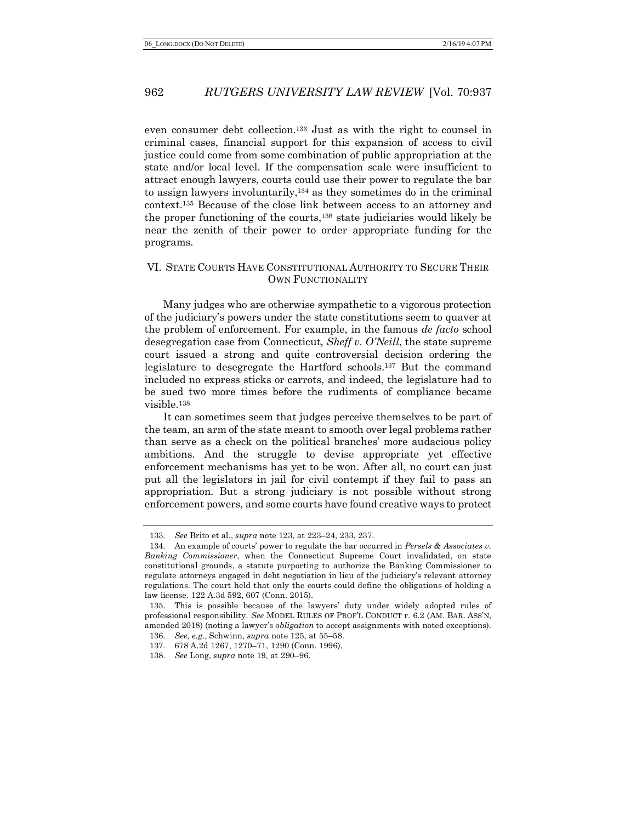even consumer debt collection.133 Just as with the right to counsel in criminal cases, financial support for this expansion of access to civil justice could come from some combination of public appropriation at the state and/or local level. If the compensation scale were insufficient to attract enough lawyers, courts could use their power to regulate the bar to assign lawyers involuntarily,134 as they sometimes do in the criminal context.135 Because of the close link between access to an attorney and the proper functioning of the courts,136 state judiciaries would likely be near the zenith of their power to order appropriate funding for the programs.

# VI. STATE COURTS HAVE CONSTITUTIONAL AUTHORITY TO SECURE THEIR OWN FUNCTIONALITY

Many judges who are otherwise sympathetic to a vigorous protection of the judiciary's powers under the state constitutions seem to quaver at the problem of enforcement. For example, in the famous *de facto* school desegregation case from Connecticut, *Sheff v. O'Neill*, the state supreme court issued a strong and quite controversial decision ordering the legislature to desegregate the Hartford schools.137 But the command included no express sticks or carrots, and indeed, the legislature had to be sued two more times before the rudiments of compliance became visible.138

It can sometimes seem that judges perceive themselves to be part of the team, an arm of the state meant to smooth over legal problems rather than serve as a check on the political branches' more audacious policy ambitions. And the struggle to devise appropriate yet effective enforcement mechanisms has yet to be won. After all, no court can just put all the legislators in jail for civil contempt if they fail to pass an appropriation. But a strong judiciary is not possible without strong enforcement powers, and some courts have found creative ways to protect

<sup>133.</sup> *See* Brito et al., *supra* note 123, at 223–24, 233, 237.

<sup>134.</sup> An example of courts' power to regulate the bar occurred in *Persels & Associates v. Banking Commissioner*, when the Connecticut Supreme Court invalidated, on state constitutional grounds, a statute purporting to authorize the Banking Commissioner to regulate attorneys engaged in debt negotiation in lieu of the judiciary's relevant attorney regulations. The court held that only the courts could define the obligations of holding a law license. 122 A.3d 592, 607 (Conn. 2015).

<sup>135.</sup> This is possible because of the lawyers' duty under widely adopted rules of professional responsibility. *See* MODEL RULES OF PROF'L CONDUCT r. 6.2 (AM. BAR. ASS'N, amended 2018) (noting a lawyer's *obligation* to accept assignments with noted exceptions).

<sup>136.</sup> *See, e.g.*, Schwinn, *supra* note 125, at 55–58.

<sup>137.</sup> 678 A.2d 1267, 1270–71, 1290 (Conn. 1996).

<sup>138.</sup> *See* Long, *supra* note 19, at 290–96.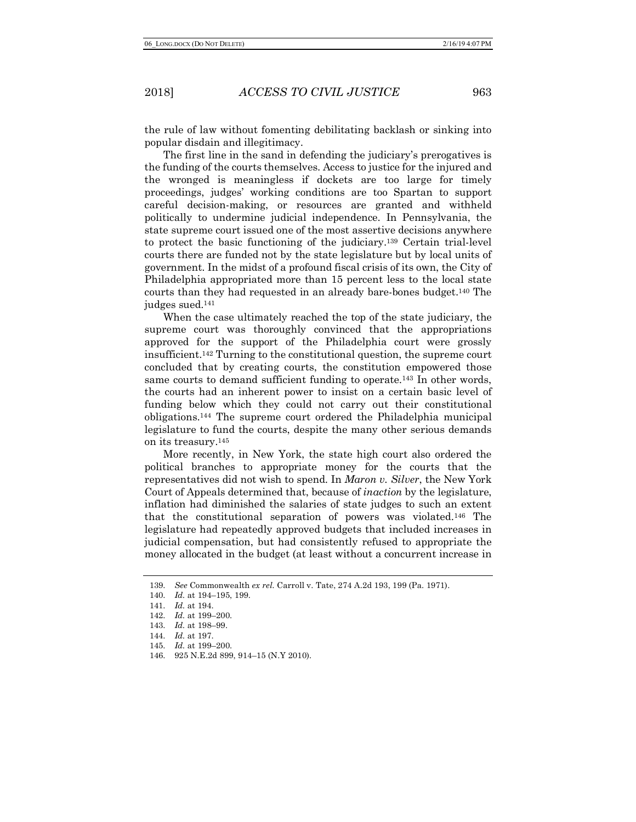the rule of law without fomenting debilitating backlash or sinking into popular disdain and illegitimacy.

The first line in the sand in defending the judiciary's prerogatives is the funding of the courts themselves. Access to justice for the injured and the wronged is meaningless if dockets are too large for timely proceedings, judges' working conditions are too Spartan to support careful decision-making, or resources are granted and withheld politically to undermine judicial independence. In Pennsylvania, the state supreme court issued one of the most assertive decisions anywhere to protect the basic functioning of the judiciary.139 Certain trial-level courts there are funded not by the state legislature but by local units of government. In the midst of a profound fiscal crisis of its own, the City of Philadelphia appropriated more than 15 percent less to the local state courts than they had requested in an already bare-bones budget.140 The judges sued.141

When the case ultimately reached the top of the state judiciary, the supreme court was thoroughly convinced that the appropriations approved for the support of the Philadelphia court were grossly insufficient.142 Turning to the constitutional question, the supreme court concluded that by creating courts, the constitution empowered those same courts to demand sufficient funding to operate.143 In other words, the courts had an inherent power to insist on a certain basic level of funding below which they could not carry out their constitutional obligations.144 The supreme court ordered the Philadelphia municipal legislature to fund the courts, despite the many other serious demands on its treasury.145

More recently, in New York, the state high court also ordered the political branches to appropriate money for the courts that the representatives did not wish to spend. In *Maron v. Silver*, the New York Court of Appeals determined that, because of *inaction* by the legislature, inflation had diminished the salaries of state judges to such an extent that the constitutional separation of powers was violated.146 The legislature had repeatedly approved budgets that included increases in judicial compensation, but had consistently refused to appropriate the money allocated in the budget (at least without a concurrent increase in

<sup>139.</sup> *See* Commonwealth *ex rel.* Carroll v. Tate, 274 A.2d 193, 199 (Pa. 1971).

<sup>140.</sup> *Id.* at 194–195, 199.

<sup>141.</sup> *Id.* at 194.

<sup>142.</sup> *Id.* at 199–200.

<sup>143.</sup> *Id.* at 198–99.

<sup>144.</sup> *Id.* at 197.

<sup>145.</sup> *Id.* at 199–200.

<sup>146.</sup> 925 N.E.2d 899, 914–15 (N.Y 2010).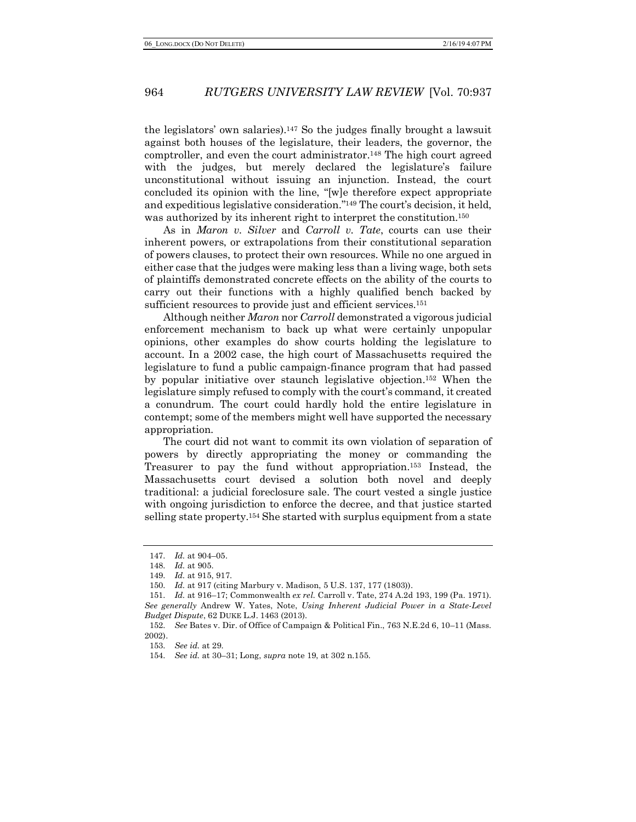the legislators' own salaries).147 So the judges finally brought a lawsuit against both houses of the legislature, their leaders, the governor, the comptroller, and even the court administrator.148 The high court agreed with the judges, but merely declared the legislature's failure unconstitutional without issuing an injunction. Instead, the court concluded its opinion with the line, "[w]e therefore expect appropriate and expeditious legislative consideration."149 The court's decision, it held, was authorized by its inherent right to interpret the constitution.150

As in *Maron v. Silver* and *Carroll v. Tate*, courts can use their inherent powers, or extrapolations from their constitutional separation of powers clauses, to protect their own resources. While no one argued in either case that the judges were making less than a living wage, both sets of plaintiffs demonstrated concrete effects on the ability of the courts to carry out their functions with a highly qualified bench backed by sufficient resources to provide just and efficient services.<sup>151</sup>

Although neither *Maron* nor *Carroll* demonstrated a vigorous judicial enforcement mechanism to back up what were certainly unpopular opinions, other examples do show courts holding the legislature to account. In a 2002 case, the high court of Massachusetts required the legislature to fund a public campaign-finance program that had passed by popular initiative over staunch legislative objection.152 When the legislature simply refused to comply with the court's command, it created a conundrum. The court could hardly hold the entire legislature in contempt; some of the members might well have supported the necessary appropriation.

The court did not want to commit its own violation of separation of powers by directly appropriating the money or commanding the Treasurer to pay the fund without appropriation.153 Instead, the Massachusetts court devised a solution both novel and deeply traditional: a judicial foreclosure sale. The court vested a single justice with ongoing jurisdiction to enforce the decree, and that justice started selling state property.154 She started with surplus equipment from a state

<sup>147.</sup> *Id.* at 904–05.

<sup>148.</sup> *Id.* at 905.

<sup>149.</sup> *Id.* at 915, 917.

<sup>150.</sup> *Id.* at 917 (citing Marbury v. Madison, 5 U.S. 137, 177 (1803)).

<sup>151.</sup> *Id.* at 916–17; Commonwealth *ex rel.* Carroll v. Tate, 274 A.2d 193, 199 (Pa. 1971). *See generally* Andrew W. Yates, Note, *Using Inherent Judicial Power in a State-Level Budget Dispute*, 62 DUKE L.J. 1463 (2013).

<sup>152.</sup> *See* Bates v. Dir. of Office of Campaign & Political Fin., 763 N.E.2d 6, 10–11 (Mass. 2002).

<sup>153.</sup> *See id.* at 29.

<sup>154.</sup> *See id.* at 30–31; Long, *supra* note 19, at 302 n.155.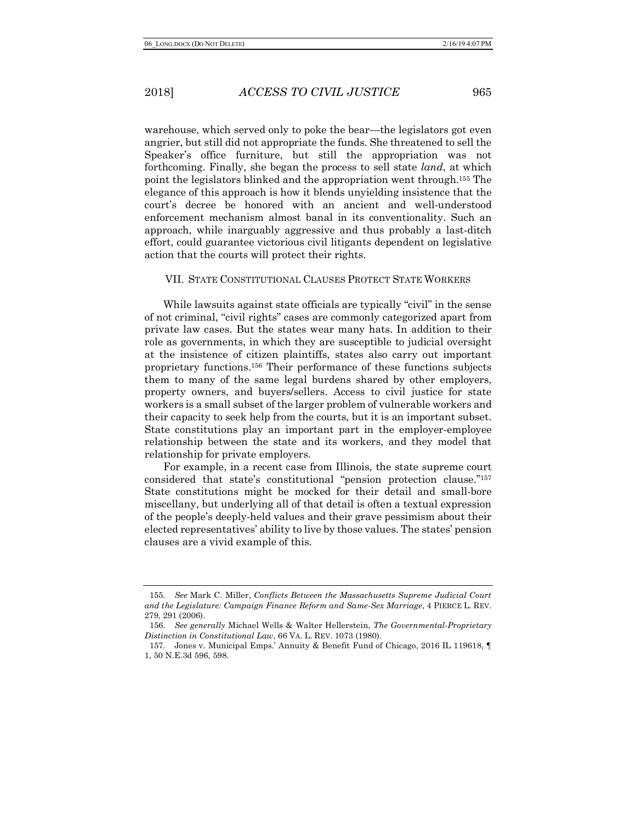warehouse, which served only to poke the bear—the legislators got even angrier, but still did not appropriate the funds. She threatened to sell the Speaker's office furniture, but still the appropriation was not forthcoming. Finally, she began the process to sell state *land*, at which point the legislators blinked and the appropriation went through.155 The elegance of this approach is how it blends unyielding insistence that the court's decree be honored with an ancient and well-understood enforcement mechanism almost banal in its conventionality. Such an approach, while inarguably aggressive and thus probably a last-ditch effort, could guarantee victorious civil litigants dependent on legislative action that the courts will protect their rights.

# VII. STATE CONSTITUTIONAL CLAUSES PROTECT STATE WORKERS

While lawsuits against state officials are typically "civil" in the sense of not criminal, "civil rights" cases are commonly categorized apart from private law cases. But the states wear many hats. In addition to their role as governments, in which they are susceptible to judicial oversight at the insistence of citizen plaintiffs, states also carry out important proprietary functions.156 Their performance of these functions subjects them to many of the same legal burdens shared by other employers, property owners, and buyers/sellers. Access to civil justice for state workers is a small subset of the larger problem of vulnerable workers and their capacity to seek help from the courts, but it is an important subset. State constitutions play an important part in the employer-employee relationship between the state and its workers, and they model that relationship for private employers.

For example, in a recent case from Illinois, the state supreme court considered that state's constitutional "pension protection clause."157 State constitutions might be mocked for their detail and small-bore miscellany, but underlying all of that detail is often a textual expression of the people's deeply-held values and their grave pessimism about their elected representatives' ability to live by those values. The states' pension clauses are a vivid example of this.

<sup>155.</sup> *See* Mark C. Miller, *Conflicts Between the Massachusetts Supreme Judicial Court and the Legislature: Campaign Finance Reform and Same-Sex Marriage*, 4 PIERCE L. REV. 279, 291 (2006).

<sup>156.</sup> *See generally* Michael Wells & Walter Hellerstein, *The Governmental-Proprietary Distinction in Constitutional Law*, 66 VA. L. REV. 1073 (1980).

<sup>157.</sup> Jones v. Municipal Emps.' Annuity & Benefit Fund of Chicago, 2016 IL 119618, ¶ 1, 50 N.E.3d 596, 598.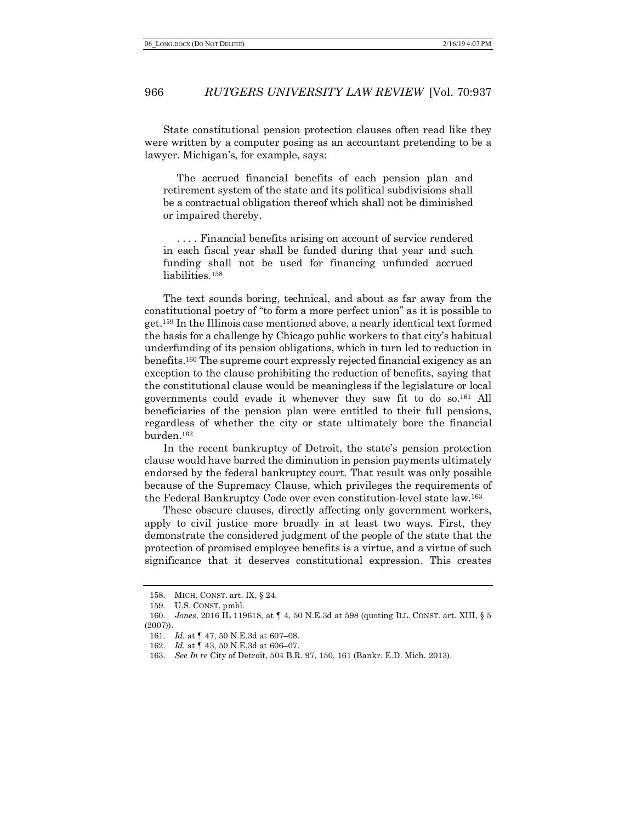State constitutional pension protection clauses often read like they were written by a computer posing as an accountant pretending to be a lawyer. Michigan's, for example, says:

The accrued financial benefits of each pension plan and retirement system of the state and its political subdivisions shall be a contractual obligation thereof which shall not be diminished or impaired thereby.

. . . . Financial benefits arising on account of service rendered in each fiscal year shall be funded during that year and such funding shall not be used for financing unfunded accrued liabilities.158

The text sounds boring, technical, and about as far away from the constitutional poetry of "to form a more perfect union" as it is possible to get.159 In the Illinois case mentioned above, a nearly identical text formed the basis for a challenge by Chicago public workers to that city's habitual underfunding of its pension obligations, which in turn led to reduction in benefits.160 The supreme court expressly rejected financial exigency as an exception to the clause prohibiting the reduction of benefits, saying that the constitutional clause would be meaningless if the legislature or local governments could evade it whenever they saw fit to do so.161 All beneficiaries of the pension plan were entitled to their full pensions, regardless of whether the city or state ultimately bore the financial burden.162

In the recent bankruptcy of Detroit, the state's pension protection clause would have barred the diminution in pension payments ultimately endorsed by the federal bankruptcy court. That result was only possible because of the Supremacy Clause, which privileges the requirements of the Federal Bankruptcy Code over even constitution-level state law.163

These obscure clauses, directly affecting only government workers, apply to civil justice more broadly in at least two ways. First, they demonstrate the considered judgment of the people of the state that the protection of promised employee benefits is a virtue, and a virtue of such significance that it deserves constitutional expression. This creates

<sup>158.</sup> MICH. CONST. art. IX, § 24.

<sup>159.</sup> U.S. CONST. pmbl.

<sup>160.</sup> *Jones*, 2016 IL 119618, at ¶ 4, 50 N.E.3d at 598 (quoting ILL. CONST. art. XIII, § 5 (2007)).

<sup>161.</sup> *Id.* at ¶ 47, 50 N.E.3d at 607–08.

<sup>162.</sup> *Id.* at ¶ 43, 50 N.E.3d at 606–07.

<sup>163.</sup> *See In re* City of Detroit, 504 B.R. 97, 150, 161 (Bankr. E.D. Mich. 2013).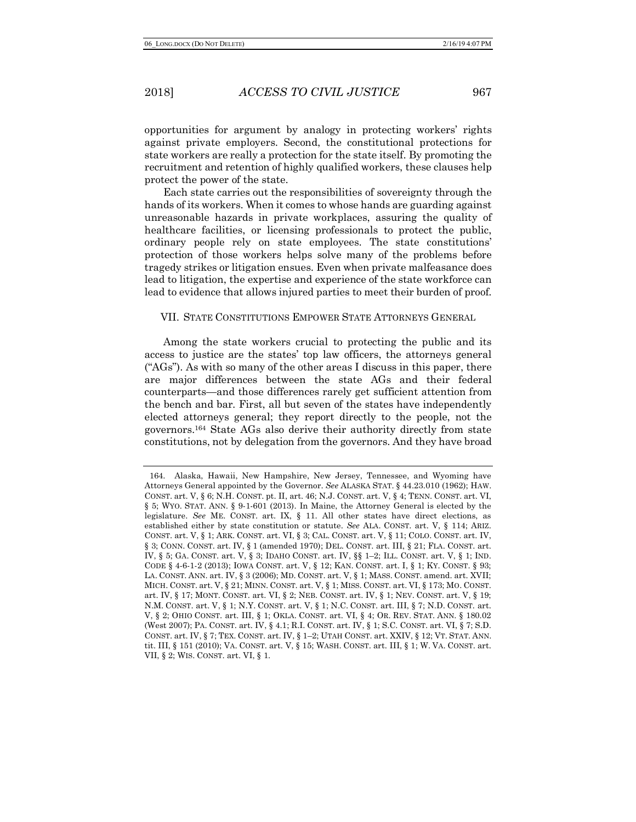opportunities for argument by analogy in protecting workers' rights against private employers. Second, the constitutional protections for state workers are really a protection for the state itself. By promoting the recruitment and retention of highly qualified workers, these clauses help protect the power of the state.

Each state carries out the responsibilities of sovereignty through the hands of its workers. When it comes to whose hands are guarding against unreasonable hazards in private workplaces, assuring the quality of healthcare facilities, or licensing professionals to protect the public, ordinary people rely on state employees. The state constitutions' protection of those workers helps solve many of the problems before tragedy strikes or litigation ensues. Even when private malfeasance does lead to litigation, the expertise and experience of the state workforce can lead to evidence that allows injured parties to meet their burden of proof.

#### VII. STATE CONSTITUTIONS EMPOWER STATE ATTORNEYS GENERAL

Among the state workers crucial to protecting the public and its access to justice are the states' top law officers, the attorneys general ("AGs"). As with so many of the other areas I discuss in this paper, there are major differences between the state AGs and their federal counterparts—and those differences rarely get sufficient attention from the bench and bar. First, all but seven of the states have independently elected attorneys general; they report directly to the people, not the governors.164 State AGs also derive their authority directly from state constitutions, not by delegation from the governors. And they have broad

<sup>164.</sup> Alaska, Hawaii, New Hampshire, New Jersey, Tennessee, and Wyoming have Attorneys General appointed by the Governor. *See* ALASKA STAT. § 44.23.010 (1962); HAW. CONST. art. V, § 6; N.H. CONST. pt. II, art. 46; N.J. CONST. art. V, § 4; TENN. CONST. art. VI, § 5; WYO. STAT. ANN. § 9-1-601 (2013). In Maine, the Attorney General is elected by the legislature. *See* ME. CONST. art. IX, § 11. All other states have direct elections, as established either by state constitution or statute. *See* ALA. CONST. art. V, § 114; ARIZ. CONST. art. V, § 1; ARK. CONST. art. VI, § 3; CAL. CONST. art. V, § 11; COLO. CONST. art. IV, § 3; CONN. CONST. art. IV, § 1 (amended 1970); DEL. CONST. art. III, § 21; FLA. CONST. art. IV, § 5; GA. CONST. art. V, § 3; IDAHO CONST. art. IV, §§ 1–2; ILL. CONST. art. V, § 1; IND. CODE § 4-6-1-2 (2013); IOWA CONST. art. V, § 12; KAN. CONST. art. I, § 1; KY. CONST. § 93; LA. CONST. ANN. art. IV, § 3 (2006); MD. CONST. art. V, § 1; MASS. CONST. amend. art. XVII; MICH. CONST. art. V, § 21; MINN. CONST. art. V, § 1; MISS. CONST. art. VI, § 173; MO. CONST. art. IV, § 17; MONT. CONST. art. VI, § 2; NEB. CONST. art. IV, § 1; NEV. CONST. art. V, § 19; N.M. CONST. art. V, § 1; N.Y. CONST. art. V, § 1; N.C. CONST. art. III, § 7; N.D. CONST. art. V, § 2; OHIO CONST. art. III, § 1; OKLA. CONST. art. VI, § 4; OR. REV. STAT. ANN. § 180.02 (West 2007); PA. CONST. art. IV, § 4.1; R.I. CONST. art. IV, § 1; S.C. CONST. art. VI, § 7; S.D. CONST. art. IV, § 7; TEX. CONST. art. IV, § 1–2; UTAH CONST. art. XXIV, § 12; VT. STAT. ANN. tit. III, § 151 (2010); VA. CONST. art. V, § 15; WASH. CONST. art. III, § 1; W. VA. CONST. art. VII, § 2; WIS. CONST. art. VI, § 1.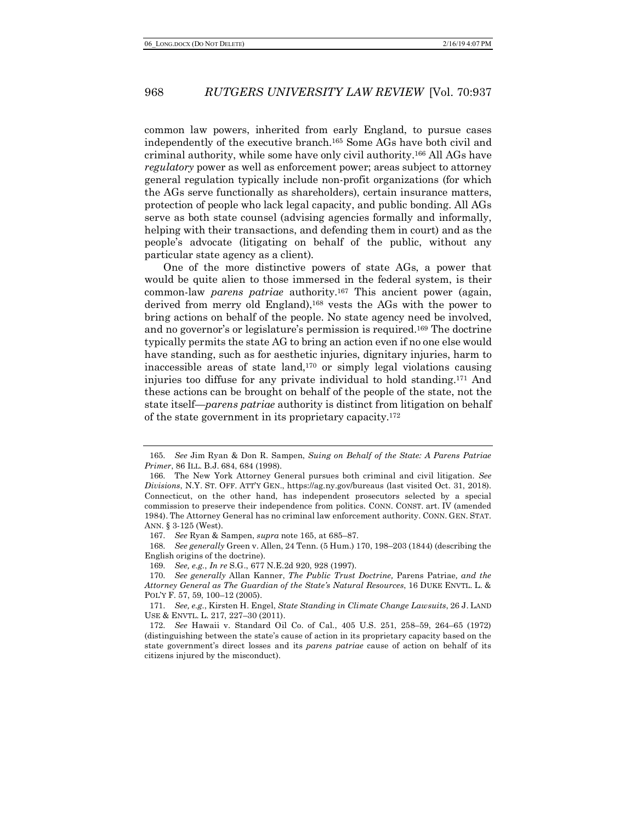common law powers, inherited from early England, to pursue cases independently of the executive branch.165 Some AGs have both civil and criminal authority, while some have only civil authority.166 All AGs have *regulatory* power as well as enforcement power; areas subject to attorney general regulation typically include non-profit organizations (for which the AGs serve functionally as shareholders), certain insurance matters, protection of people who lack legal capacity, and public bonding. All AGs serve as both state counsel (advising agencies formally and informally, helping with their transactions, and defending them in court) and as the people's advocate (litigating on behalf of the public, without any particular state agency as a client).

One of the more distinctive powers of state AGs, a power that would be quite alien to those immersed in the federal system, is their common-law *parens patriae* authority.167 This ancient power (again, derived from merry old England),168 vests the AGs with the power to bring actions on behalf of the people. No state agency need be involved, and no governor's or legislature's permission is required.169 The doctrine typically permits the state AG to bring an action even if no one else would have standing, such as for aesthetic injuries, dignitary injuries, harm to inaccessible areas of state land, $170$  or simply legal violations causing injuries too diffuse for any private individual to hold standing.171 And these actions can be brought on behalf of the people of the state, not the state itself—*parens patriae* authority is distinct from litigation on behalf of the state government in its proprietary capacity.172

168. *See generally* Green v. Allen, 24 Tenn. (5 Hum.) 170, 198–203 (1844) (describing the English origins of the doctrine).

<sup>165.</sup> *See* Jim Ryan & Don R. Sampen, *Suing on Behalf of the State: A Parens Patriae Primer*, 86 ILL. B.J. 684, 684 (1998).

<sup>166.</sup> The New York Attorney General pursues both criminal and civil litigation. *See Divisions*, N.Y. ST. OFF. ATT'Y GEN., https://ag.ny.gov/bureaus (last visited Oct. 31, 2018). Connecticut, on the other hand, has independent prosecutors selected by a special commission to preserve their independence from politics. CONN. CONST. art. IV (amended 1984). The Attorney General has no criminal law enforcement authority. CONN. GEN. STAT. ANN. § 3-125 (West).

<sup>167.</sup> *See* Ryan & Sampen, *supra* note 165, at 685–87.

<sup>169.</sup> *See, e.g.*, *In re* S.G., 677 N.E.2d 920, 928 (1997).

<sup>170.</sup> *See generally* Allan Kanner, *The Public Trust Doctrine,* Parens Patriae*, and the Attorney General as The Guardian of the State's Natural Resources*, 16 DUKE ENVTL. L. & POL'Y F. 57, 59, 100–12 (2005).

<sup>171.</sup> *See, e.g.*, Kirsten H. Engel, *State Standing in Climate Change Lawsuits*, 26 J. LAND USE & ENVTL. L. 217, 227–30 (2011).

<sup>172.</sup> *See* Hawaii v. Standard Oil Co. of Cal., 405 U.S. 251, 258–59, 264–65 (1972) (distinguishing between the state's cause of action in its proprietary capacity based on the state government's direct losses and its *parens patriae* cause of action on behalf of its citizens injured by the misconduct).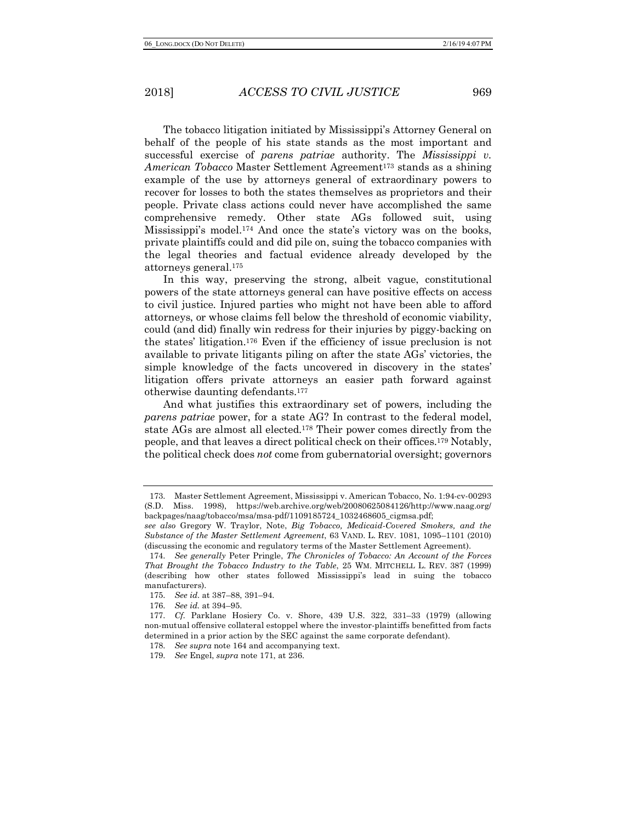The tobacco litigation initiated by Mississippi's Attorney General on behalf of the people of his state stands as the most important and successful exercise of *parens patriae* authority. The *Mississippi v. American Tobacco* Master Settlement Agreement173 stands as a shining example of the use by attorneys general of extraordinary powers to recover for losses to both the states themselves as proprietors and their people. Private class actions could never have accomplished the same comprehensive remedy. Other state AGs followed suit, using Mississippi's model.174 And once the state's victory was on the books, private plaintiffs could and did pile on, suing the tobacco companies with the legal theories and factual evidence already developed by the attorneys general.175

In this way, preserving the strong, albeit vague, constitutional powers of the state attorneys general can have positive effects on access to civil justice. Injured parties who might not have been able to afford attorneys, or whose claims fell below the threshold of economic viability, could (and did) finally win redress for their injuries by piggy-backing on the states' litigation.176 Even if the efficiency of issue preclusion is not available to private litigants piling on after the state AGs' victories, the simple knowledge of the facts uncovered in discovery in the states' litigation offers private attorneys an easier path forward against otherwise daunting defendants.177

And what justifies this extraordinary set of powers, including the *parens patriae* power, for a state AG? In contrast to the federal model, state AGs are almost all elected.178 Their power comes directly from the people, and that leaves a direct political check on their offices.179 Notably, the political check does *not* come from gubernatorial oversight; governors

<sup>173.</sup> Master Settlement Agreement, Mississippi v. American Tobacco, No. 1:94-cv-00293 (S.D. Miss. 1998), https://web.archive.org/web/20080625084126/http://www.naag.org/ backpages/naag/tobacco/msa/msa-pdf/1109185724\_1032468605\_cigmsa.pdf;

*see also* Gregory W. Traylor, Note, *Big Tobacco, Medicaid-Covered Smokers, and the Substance of the Master Settlement Agreement*, 63 VAND. L. REV. 1081, 1095–1101 (2010) (discussing the economic and regulatory terms of the Master Settlement Agreement).

<sup>174.</sup> *See generally* Peter Pringle, *The Chronicles of Tobacco: An Account of the Forces That Brought the Tobacco Industry to the Table*, 25 WM. MITCHELL L. REV. 387 (1999) (describing how other states followed Mississippi's lead in suing the tobacco manufacturers).

<sup>175.</sup> *See id*. at 387–88, 391–94.

<sup>176.</sup> *See id.* at 394–95.

<sup>177.</sup> *Cf.* Parklane Hosiery Co. v. Shore, 439 U.S. 322, 331–33 (1979) (allowing non-mutual offensive collateral estoppel where the investor-plaintiffs benefitted from facts determined in a prior action by the SEC against the same corporate defendant).

<sup>178.</sup> *See supra* note 164 and accompanying text.

<sup>179.</sup> *See* Engel, *supra* note 171, at 236.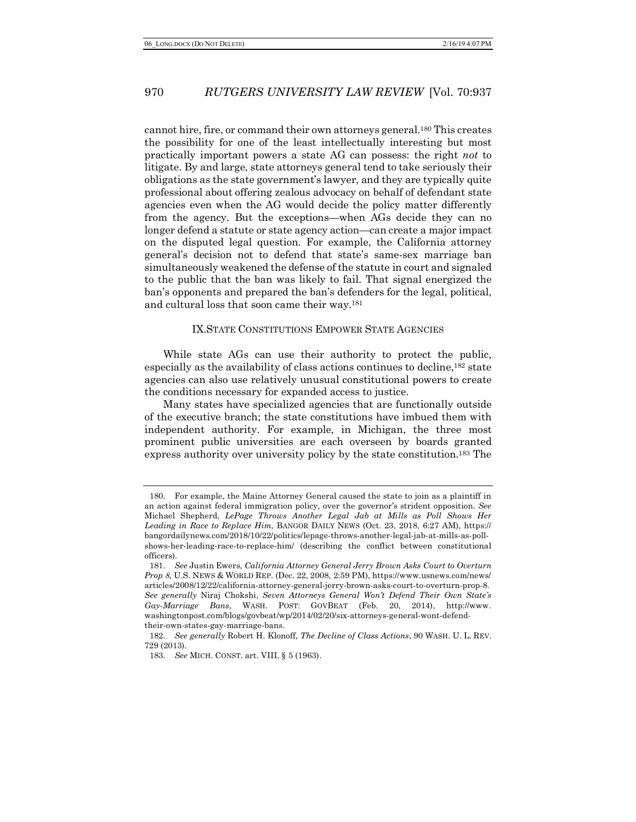cannot hire, fire, or command their own attorneys general.180 This creates the possibility for one of the least intellectually interesting but most practically important powers a state AG can possess: the right *not* to litigate. By and large, state attorneys general tend to take seriously their obligations as the state government's lawyer, and they are typically quite professional about offering zealous advocacy on behalf of defendant state agencies even when the AG would decide the policy matter differently from the agency. But the exceptions—when AGs decide they can no longer defend a statute or state agency action—can create a major impact on the disputed legal question. For example, the California attorney general's decision not to defend that state's same-sex marriage ban simultaneously weakened the defense of the statute in court and signaled to the public that the ban was likely to fail. That signal energized the ban's opponents and prepared the ban's defenders for the legal, political, and cultural loss that soon came their way.181

#### IX.STATE CONSTITUTIONS EMPOWER STATE AGENCIES

While state AGs can use their authority to protect the public, especially as the availability of class actions continues to decline,182 state agencies can also use relatively unusual constitutional powers to create the conditions necessary for expanded access to justice.

Many states have specialized agencies that are functionally outside of the executive branch; the state constitutions have imbued them with independent authority. For example, in Michigan, the three most prominent public universities are each overseen by boards granted express authority over university policy by the state constitution.183 The

<sup>180.</sup> For example, the Maine Attorney General caused the state to join as a plaintiff in an action against federal immigration policy, over the governor's strident opposition. *See* Michael Shepherd, *LePage Throws Another Legal Jab at Mills as Poll Shows Her Leading in Race to Replace Him*, BANGOR DAILY NEWS (Oct. 23, 2018, 6:27 AM), https:// bangordailynews.com/2018/10/22/politics/lepage-throws-another-legal-jab-at-mills-as-pollshows-her-leading-race-to-replace-him/ (describing the conflict between constitutional officers).

<sup>181.</sup> *See* Justin Ewers, *California Attorney General Jerry Brown Asks Court to Overturn Prop 8*, U.S. NEWS & WORLD REP. (Dec. 22, 2008, 2:59 PM), https://www.usnews.com/news/ articles/2008/12/22/california-attorney-general-jerry-brown-asks-court-to-overturn-prop-8. *See generally* Niraj Chokshi, *Seven Attorneys General Won't Defend Their Own State's Gay-Marriage Bans*, WASH. POST: GOVBEAT (Feb. 20, 2014), http://www. washingtonpost.com/blogs/govbeat/wp/2014/02/20/six-attorneys-general-wont-defendtheir-own-states-gay-marriage-bans.

<sup>182.</sup> *See generally* Robert H. Klonoff, *The Decline of Class Actions*, 90 WASH. U. L. REV. 729 (2013).

<sup>183.</sup> *See* MICH. CONST. art. VIII, § 5 (1963).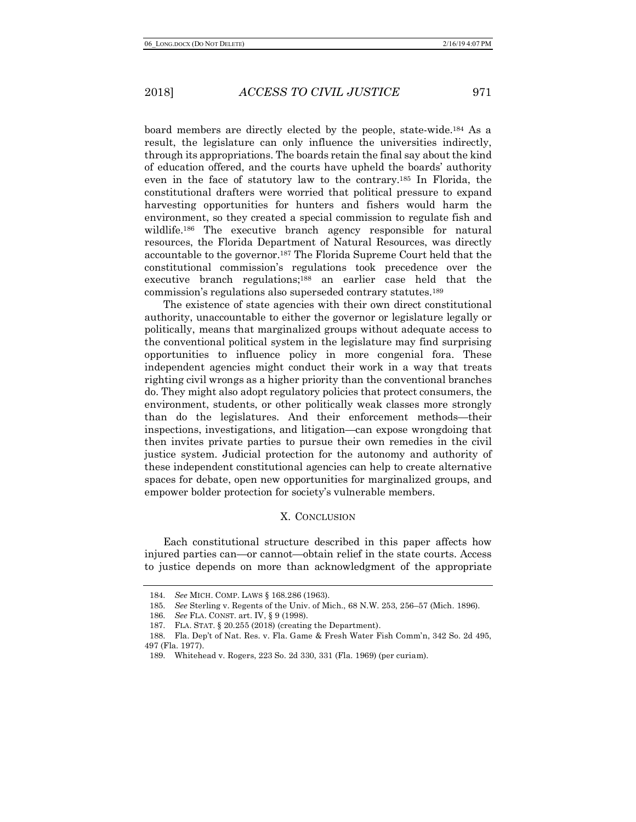board members are directly elected by the people, state-wide.184 As a result, the legislature can only influence the universities indirectly, through its appropriations. The boards retain the final say about the kind of education offered, and the courts have upheld the boards' authority even in the face of statutory law to the contrary.185 In Florida, the constitutional drafters were worried that political pressure to expand harvesting opportunities for hunters and fishers would harm the environment, so they created a special commission to regulate fish and wildlife.<sup>186</sup> The executive branch agency responsible for natural resources, the Florida Department of Natural Resources, was directly accountable to the governor.187 The Florida Supreme Court held that the constitutional commission's regulations took precedence over the executive branch regulations;<sup>188</sup> an earlier case held that the commission's regulations also superseded contrary statutes.189

The existence of state agencies with their own direct constitutional authority, unaccountable to either the governor or legislature legally or politically, means that marginalized groups without adequate access to the conventional political system in the legislature may find surprising opportunities to influence policy in more congenial fora. These independent agencies might conduct their work in a way that treats righting civil wrongs as a higher priority than the conventional branches do. They might also adopt regulatory policies that protect consumers, the environment, students, or other politically weak classes more strongly than do the legislatures. And their enforcement methods—their inspections, investigations, and litigation—can expose wrongdoing that then invites private parties to pursue their own remedies in the civil justice system. Judicial protection for the autonomy and authority of these independent constitutional agencies can help to create alternative spaces for debate, open new opportunities for marginalized groups, and empower bolder protection for society's vulnerable members.

#### X. CONCLUSION

Each constitutional structure described in this paper affects how injured parties can—or cannot—obtain relief in the state courts. Access to justice depends on more than acknowledgment of the appropriate

<sup>184.</sup> *See* MICH. COMP. LAWS § 168.286 (1963).

<sup>185.</sup> *See* Sterling v. Regents of the Univ. of Mich., 68 N.W. 253, 256–57 (Mich. 1896).

<sup>186.</sup> *See* FLA. CONST. art. IV, § 9 (1998).

<sup>187.</sup> FLA. STAT. § 20.255 (2018) (creating the Department).

<sup>188.</sup> Fla. Dep't of Nat. Res. v. Fla. Game & Fresh Water Fish Comm'n, 342 So. 2d 495, 497 (Fla. 1977).

<sup>189.</sup> Whitehead v. Rogers, 223 So. 2d 330, 331 (Fla. 1969) (per curiam).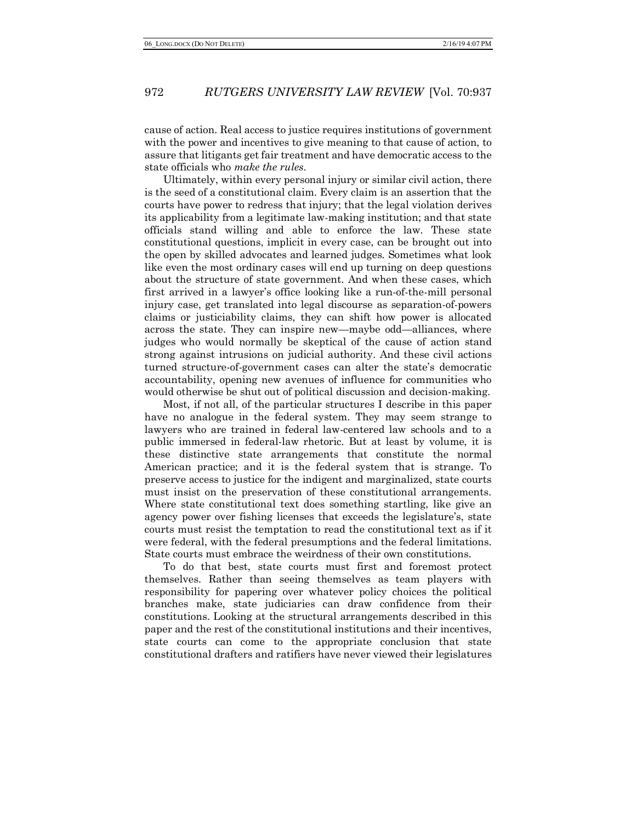cause of action. Real access to justice requires institutions of government with the power and incentives to give meaning to that cause of action, to assure that litigants get fair treatment and have democratic access to the state officials who *make the rules*.

Ultimately, within every personal injury or similar civil action, there is the seed of a constitutional claim. Every claim is an assertion that the courts have power to redress that injury; that the legal violation derives its applicability from a legitimate law-making institution; and that state officials stand willing and able to enforce the law. These state constitutional questions, implicit in every case, can be brought out into the open by skilled advocates and learned judges. Sometimes what look like even the most ordinary cases will end up turning on deep questions about the structure of state government. And when these cases, which first arrived in a lawyer's office looking like a run-of-the-mill personal injury case, get translated into legal discourse as separation-of-powers claims or justiciability claims, they can shift how power is allocated across the state. They can inspire new—maybe odd—alliances, where judges who would normally be skeptical of the cause of action stand strong against intrusions on judicial authority. And these civil actions turned structure-of-government cases can alter the state's democratic accountability, opening new avenues of influence for communities who would otherwise be shut out of political discussion and decision-making.

Most, if not all, of the particular structures I describe in this paper have no analogue in the federal system. They may seem strange to lawyers who are trained in federal law-centered law schools and to a public immersed in federal-law rhetoric. But at least by volume, it is these distinctive state arrangements that constitute the normal American practice; and it is the federal system that is strange. To preserve access to justice for the indigent and marginalized, state courts must insist on the preservation of these constitutional arrangements. Where state constitutional text does something startling, like give an agency power over fishing licenses that exceeds the legislature's, state courts must resist the temptation to read the constitutional text as if it were federal, with the federal presumptions and the federal limitations. State courts must embrace the weirdness of their own constitutions.

To do that best, state courts must first and foremost protect themselves. Rather than seeing themselves as team players with responsibility for papering over whatever policy choices the political branches make, state judiciaries can draw confidence from their constitutions. Looking at the structural arrangements described in this paper and the rest of the constitutional institutions and their incentives, state courts can come to the appropriate conclusion that state constitutional drafters and ratifiers have never viewed their legislatures